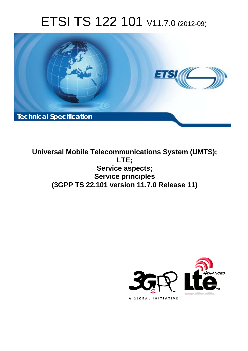# ETSI TS 122 101 V11.7.0 (2012-09)



**Universal Mobile Telecommunications System (UMTS); LTE; Service aspects; Service principles (3GPP TS 22.101 version 11.7.0 Release 11)** 

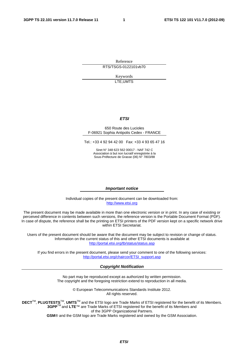Reference RTS/TSGS-0122101vb70

> Keywords LTE,UMTS

#### *ETSI*

#### 650 Route des Lucioles F-06921 Sophia Antipolis Cedex - FRANCE

Tel.: +33 4 92 94 42 00 Fax: +33 4 93 65 47 16

Siret N° 348 623 562 00017 - NAF 742 C Association à but non lucratif enregistrée à la Sous-Préfecture de Grasse (06) N° 7803/88

#### *Important notice*

Individual copies of the present document can be downloaded from: [http://www.etsi.org](http://www.etsi.org/)

The present document may be made available in more than one electronic version or in print. In any case of existing or perceived difference in contents between such versions, the reference version is the Portable Document Format (PDF). In case of dispute, the reference shall be the printing on ETSI printers of the PDF version kept on a specific network drive within ETSI Secretariat.

Users of the present document should be aware that the document may be subject to revision or change of status. Information on the current status of this and other ETSI documents is available at <http://portal.etsi.org/tb/status/status.asp>

If you find errors in the present document, please send your comment to one of the following services: [http://portal.etsi.org/chaircor/ETSI\\_support.asp](http://portal.etsi.org/chaircor/ETSI_support.asp)

#### *Copyright Notification*

No part may be reproduced except as authorized by written permission. The copyright and the foregoing restriction extend to reproduction in all media.

> © European Telecommunications Standards Institute 2012. All rights reserved.

DECT<sup>™</sup>, PLUGTESTS<sup>™</sup>, UMTS<sup>™</sup> and the ETSI logo are Trade Marks of ETSI registered for the benefit of its Members. **3GPP**TM and **LTE**™ are Trade Marks of ETSI registered for the benefit of its Members and of the 3GPP Organizational Partners.

**GSM**® and the GSM logo are Trade Marks registered and owned by the GSM Association.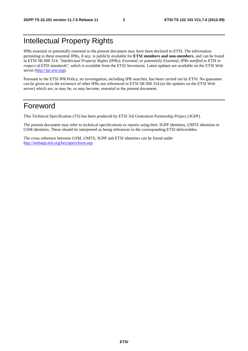# Intellectual Property Rights

IPRs essential or potentially essential to the present document may have been declared to ETSI. The information pertaining to these essential IPRs, if any, is publicly available for **ETSI members and non-members**, and can be found in ETSI SR 000 314: *"Intellectual Property Rights (IPRs); Essential, or potentially Essential, IPRs notified to ETSI in respect of ETSI standards"*, which is available from the ETSI Secretariat. Latest updates are available on the ETSI Web server ([http://ipr.etsi.org\)](http://webapp.etsi.org/IPR/home.asp).

Pursuant to the ETSI IPR Policy, no investigation, including IPR searches, has been carried out by ETSI. No guarantee can be given as to the existence of other IPRs not referenced in ETSI SR 000 314 (or the updates on the ETSI Web server) which are, or may be, or may become, essential to the present document.

## Foreword

This Technical Specification (TS) has been produced by ETSI 3rd Generation Partnership Project (3GPP).

The present document may refer to technical specifications or reports using their 3GPP identities, UMTS identities or GSM identities. These should be interpreted as being references to the corresponding ETSI deliverables.

The cross reference between GSM, UMTS, 3GPP and ETSI identities can be found under [http://webapp.etsi.org/key/queryform.asp.](http://webapp.etsi.org/key/queryform.asp)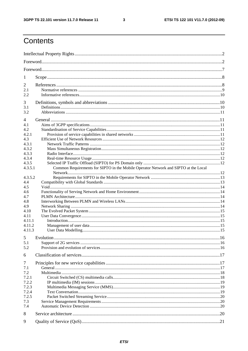$\mathbf{3}$ 

# Contents

| 1          |                                                                                     |  |
|------------|-------------------------------------------------------------------------------------|--|
| 2          |                                                                                     |  |
| 2.1<br>2.2 |                                                                                     |  |
| 3          |                                                                                     |  |
| 3.1<br>3.2 |                                                                                     |  |
| 4          |                                                                                     |  |
| 4.1        |                                                                                     |  |
| 4.2        |                                                                                     |  |
| 4.2.1      |                                                                                     |  |
| 4.3        |                                                                                     |  |
| 4.3.1      |                                                                                     |  |
| 4.3.2      |                                                                                     |  |
| 4.3.3      |                                                                                     |  |
| 4.3.4      |                                                                                     |  |
| 4.3.5      |                                                                                     |  |
| 4.3.5.1    | Common Requirements for SIPTO in the Mobile Operator Network and SIPTO at the Local |  |
|            |                                                                                     |  |
| 4.3.5.2    |                                                                                     |  |
| 4.4        |                                                                                     |  |
| 4.5        |                                                                                     |  |
| 4.6        |                                                                                     |  |
| 4.7        |                                                                                     |  |
| 4.8        |                                                                                     |  |
| 4.9        |                                                                                     |  |
| 4.10       |                                                                                     |  |
| 4.11       |                                                                                     |  |
| 4.11.1     |                                                                                     |  |
| 4.11.2     |                                                                                     |  |
| 4.11.3     |                                                                                     |  |
|            |                                                                                     |  |
|            |                                                                                     |  |
| 5.1        |                                                                                     |  |
| 5.2        |                                                                                     |  |
| 6          |                                                                                     |  |
| 7          |                                                                                     |  |
| 7.1        |                                                                                     |  |
| 7.2        |                                                                                     |  |
| 7.2.1      |                                                                                     |  |
| 7.2.2      |                                                                                     |  |
| 7.2.3      |                                                                                     |  |
| 7.2.4      |                                                                                     |  |
| 7.2.5      |                                                                                     |  |
| 7.3        |                                                                                     |  |
| 7.4        |                                                                                     |  |
| 8          |                                                                                     |  |
| 9          |                                                                                     |  |
|            |                                                                                     |  |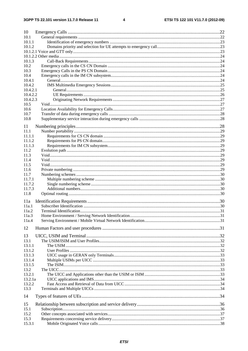#### $\overline{\mathbf{4}}$

| 10       |  |
|----------|--|
| 10.1     |  |
| 10.1.1   |  |
| 10.1.2   |  |
|          |  |
|          |  |
| 10.1.3   |  |
| 10.2     |  |
| 10.3     |  |
| 10.4     |  |
| 10.4.1   |  |
| 10.4.2   |  |
| 10.4.2.1 |  |
| 10.4.2.2 |  |
| 10.4.2.3 |  |
| 10.5     |  |
| 10.6     |  |
| 10.7     |  |
| 10.8     |  |
| 11       |  |
| 11.1     |  |
| 11.1.1   |  |
| 11.1.2   |  |
| 11.1.3   |  |
| 11.2     |  |
| 11.3     |  |
| 11.4     |  |
| 11.5     |  |
| 11.6     |  |
| 11.7     |  |
| 11.7.1   |  |
| 11.7.2   |  |
| 11.7.3   |  |
| 11.8     |  |
| 11a      |  |
| 11a.1    |  |
| 11a.2    |  |
| 11a.3    |  |
| 11a.4    |  |
| 12       |  |
|          |  |
| 13       |  |
| 13.1     |  |
| 13.1.1   |  |
| 13.1.2   |  |
| 13.1.3   |  |
| 13.1.4   |  |
| 13.1.5   |  |
| 13.2     |  |
| 13.2.1   |  |
| 13.2.1a  |  |
| 13.2.2   |  |
| 13.3     |  |
| 14       |  |
| 15       |  |
| 15.1     |  |
| 15.2     |  |
| 15.3     |  |
| 15.3.1   |  |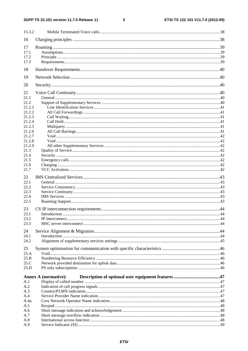$\overline{\phantom{0}}$ 

| 15.3.2       |                             |    |
|--------------|-----------------------------|----|
| 16           |                             |    |
| 17           |                             |    |
| 17.1         |                             |    |
| 17.2         |                             |    |
| 17.3         |                             |    |
| 18           |                             |    |
| 19           |                             |    |
| 20           |                             |    |
| 21           |                             |    |
| 21.1         |                             |    |
| 21.2         |                             |    |
| 21.2.1       |                             |    |
| 21.2.2       |                             |    |
| 21.2.3       |                             |    |
| 21.2.4       |                             |    |
| 21.2.5       |                             |    |
| 21.2.6       |                             |    |
| 21.2.7       |                             |    |
| 21.2.8       |                             |    |
| 21.2.9       |                             |    |
| 21.3         |                             |    |
| 21.4<br>21.5 |                             |    |
| 21.6         |                             |    |
| 21.7         |                             |    |
|              |                             |    |
| 22           |                             |    |
| 22.1         |                             |    |
| 22.2         |                             |    |
| 22.3         |                             |    |
| 22.4         |                             |    |
| 22.5         |                             |    |
| 23           |                             |    |
| 23.1         | Introduction                | 44 |
| 23.2         |                             |    |
| 23.3         |                             |    |
| 24           |                             |    |
| 24.1         |                             |    |
| 24.2         |                             |    |
| 25           |                             |    |
| 25.A         |                             |    |
| 25.B         |                             |    |
| 25.C         |                             |    |
| 25.D         |                             |    |
|              |                             |    |
|              | <b>Annex A (normative):</b> |    |
| A.1          |                             |    |
| A.2<br>A.3   |                             |    |
| A.4          |                             |    |
| A.4a         |                             |    |
| A.5          |                             |    |
| A.6          |                             |    |
| A.7          |                             |    |
| A.8          |                             |    |
| A.9          |                             |    |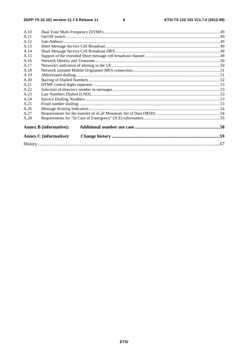| A.10 |                               |  |
|------|-------------------------------|--|
| A.11 |                               |  |
| A.12 |                               |  |
| A.13 |                               |  |
| A.14 |                               |  |
| A.15 |                               |  |
| A.16 |                               |  |
| A.17 |                               |  |
| A.18 |                               |  |
| A.19 |                               |  |
| A.20 |                               |  |
| A.21 |                               |  |
| A.22 |                               |  |
| A.23 |                               |  |
| A.24 |                               |  |
| A.25 |                               |  |
| A.26 |                               |  |
| A.27 |                               |  |
| A.28 |                               |  |
|      | <b>Annex B</b> (informative): |  |
|      | <b>Annex C</b> (informative): |  |
|      |                               |  |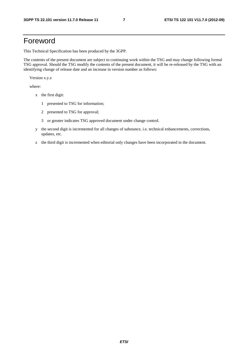# Foreword

This Technical Specification has been produced by the 3GPP.

The contents of the present document are subject to continuing work within the TSG and may change following formal TSG approval. Should the TSG modify the contents of the present document, it will be re-released by the TSG with an identifying change of release date and an increase in version number as follows:

Version x.y.z

where:

- x the first digit:
	- 1 presented to TSG for information;
	- 2 presented to TSG for approval;
	- 3 or greater indicates TSG approved document under change control.
- y the second digit is incremented for all changes of substance, i.e. technical enhancements, corrections, updates, etc.
- z the third digit is incremented when editorial only changes have been incorporated in the document.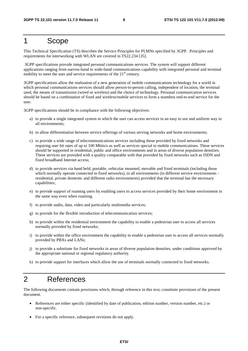## 1 Scope

This Technical Specification (TS) describes the Service Principles for PLMNs specified by 3GPP. Principles and requirements for interworking with WLAN are covered in TS22.234 [35].

 3GPP specifications provide integrated personal communications services. The system will support different applications ranging from narrow-band to wide-band communications capability with integrated personal and terminal mobility to meet the user and service requirements of the  $21<sup>st</sup>$  century.

3GPP specifications allow the realisation of a new generation of mobile communications technology for a world in which personal communications services should allow person-to-person calling, independent of location, the terminal used, the means of transmission (wired or wireless) and the choice of technology. Personal communication services should be based on a combination of fixed and wireless/mobile services to form a seamless end-to-end service for the user.

3GPP specifications should be in compliance with the following objectives:

- a) to provide a single integrated system in which the user can access services in an easy to use and uniform way in all environments;
- b) to allow differentiation between service offerings of various serving networks and home environments;
- c) to provide a wide range of telecommunications services including those provided by fixed networks and requiring user bit rates of up to 100 Mbits/s as well as services special to mobile communications. These services should be supported in residential, public and office environments and in areas of diverse population densities. These services are provided with a quality comparable with that provided by fixed networks such as ISDN and fixed broadband Internet access;
- d) to provide services via hand held, portable, vehicular mounted, movable and fixed terminals (including those which normally operate connected to fixed networks), in all environments (in different service environments residential, private domestic and different radio environments) provided that the terminal has the necessary capabilities;
- e) to provide support of roaming users by enabling users to access services provided by their home environment in the same way even when roaming.
- f) to provide audio, data, video and particularly multimedia services;
- g) to provide for the flexible introduction of telecommunication services;
- h) to provide within the residential environment the capability to enable a pedestrian user to access all services normally provided by fixed networks;
- i) to provide within the office environment the capability to enable a pedestrian user to access all services normally provided by PBXs and LANs;
- j) to provide a substitute for fixed networks in areas of diverse population densities, under conditions approved by the appropriate national or regional regulatory authority.
- k) to provide support for interfaces which allow the use of terminals normally connected to fixed networks.

# 2 References

The following documents contain provisions which, through reference in this text, constitute provisions of the present document.

- References are either specific (identified by date of publication, edition number, version number, etc.) or non-specific.
- For a specific reference, subsequent revisions do not apply.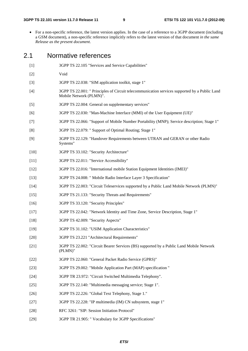• For a non-specific reference, the latest version applies. In the case of a reference to a 3GPP document (including a GSM document), a non-specific reference implicitly refers to the latest version of that document *in the same Release as the present document*.

#### 2.1 Normative references

- [1] 3GPP TS 22.105 "Services and Service Capabilities"
- [2] Void
- [3] 3GPP TS 22.038: "SIM application toolkit, stage 1"
- [4] 3GPP TS 22.001: " Principles of Circuit telecommunication services supported by a Public Land Mobile Network (PLMN)".
- [5] 3GPP TS 22.004: General on supplementary services"
- [6] 3GPP TS 22.030: "Man-Machine Interface (MMI) of the User Equipment (UE)"
- [7] 3GPP TS 22.066: "Support of Mobile Number Portability (MNP); Service description; Stage 1"
- [8] 3GPP TS 22.079: " Support of Optimal Routing; Stage 1"
- [9] 3GPP TS 22.129: "Handover Requirements between UTRAN and GERAN or other Radio Systems"
- [10] 3GPP TS 33.102: "Security Architecture"
- [11] 3GPP TS 22.011: "Service Accessibility"
- [12] 3GPP TS 22.016: "International mobile Station Equipment Identities (IMEI)"
- [13] 3GPP TS 24.008: " Mobile Radio Interface Layer 3 Specification"
- [14] 3GPP TS 22.003: "Circuit Teleservices supported by a Public Land Mobile Network (PLMN)"
- [15] 3GPP TS 21.133: "Security Threats and Requirements"
- [16] 3GPP TS 33.120: "Security Principles"
- [17] 3GPP TS 22.042: "Network Identity and Time Zone, Service Description, Stage 1"
- [18] 3GPP TS 42.009: "Security Aspects"
- [19] 3GPP TS 31.102: "USIM Application Characteristics"
- [20] 3GPP TS 23.221 "Architectural Requirements"
- [21] 3GPP TS 22.002: "Circuit Bearer Services (BS) supported by a Public Land Mobile Network (PLMN)"
- [22] 3GPP TS 22.060: "General Packet Radio Service (GPRS)"
- [23] 3GPP TS 29.002: "Mobile Application Part (MAP) specification "
- [24] 3GPP TR 23.972: "Circuit Switched Multimedia Telephony".
- [25] 3GPP TS 22.140: "Multimedia messaging service; Stage 1".
- [26] 3GPP TS 22.226: "Global Text Telephony, Stage 1."
- [27] 3GPP TS 22.228: "IP multimedia (IM) CN subsystem, stage 1"
- [28] RFC 3261: "SIP: Session Initiation Protocol"
- [29] 3GPP TR 21.905: " Vocabulary for 3GPP Specifications"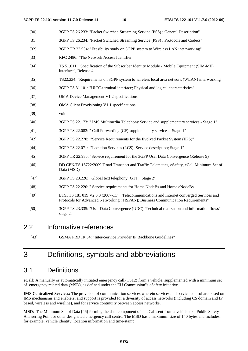- [30] 3GPP TS 26.233: "Packet Switched Streaming Service (PSS) ; General Description"
- [31] 3GPP TS 26.234: "Packet Switched Streaming Service (PSS) ; Protocols and Codecs"
- [32] 3GPP TR 22.934: "Feasibility study on 3GPP system to Wireless LAN interworking"
- [33] RFC 2486: "The Network Access Identifier"
- [34] TS 51.011: "Specification of the Subscriber Identity Module Mobile Equipment (SIM-ME) interface", Release 4
- [35] TS22.234: "Requirements on 3GPP system to wireless local area network (WLAN) interworking"
- [36] 3GPP TS 31.101: "UICC-terminal interface; Physical and logical characteristics"
- [37] OMA Device Management V1.2 specifications
- [38] OMA Client Provisioning V1.1 specifications
- [39] void
- [40] 3GPP TS 22.173: " IMS Multimedia Telephony Service and supplementary services Stage 1"
- [41] 3GPP TS 22.082: " Call Forwarding (CF) supplementary services Stage 1"
- [42] 3GPP TS 22.278: "Service Requirements for the Evolved Packet System (EPS)"
- [44] 3GPP TS 22.071: "Location Services (LCS); Service description; Stage 1"
- [45] 3GPP TR 22.985: "Service requirement for the 3GPP User Data Convergence (Release 9)"
- [46] DD CEN/TS 15722:2009 'Road Transport and Traffic Telematics, eSafety, eCall Minimum Set of Data (MSD)'
- [47] 3GPP TS 23.226: "Global text telephony (GTT); Stage 2"
- [48] 3GPP TS 22.220: " Service requirements for Home NodeBs and Home eNodeBs"
- [49] ETSI TS 181 019 V2.0.0 (2007-11): "Telecommunications and Internet converged Services and Protocols for Advanced Networking (TISPAN); Business Communication Requirements"
- [50] 3GPP TS 23.335: "User Data Convergence (UDC); Technical realization and information flows"; stage 2.

#### 2.2 Informative references

[43] GSMA PRD IR.34: "Inter-Service Provider IP Backbone Guidelines"

# 3 Definitions, symbols and abbreviations

## 3.1 Definitions

**eCall**: A manually or automatically initiated emergency call,(TS12) from a vehicle, supplemented with a minimum set of emergency related data (MSD), as defined under the EU Commission"s eSafety initiative.

**IMS Centralized Services:** The provision of communication services wherein services and service control are based on IMS mechanisms and enablers, and support is provided for a diversity of access networks (including CS domain and IP based, wireless and wireline), and for service continuity between access networks.

**MSD**: The Minimum Set of Data [46] forming the data component of an eCall sent from a vehicle to a Public Safety Answering Point or other designated emergency call centre. The MSD has a maximum size of 140 bytes and includes, for example, vehicle identity, location information and time-stamp.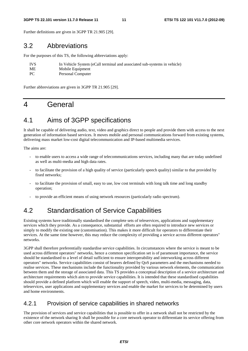#### **3GPP TS 22.101 version 11.7.0 Release 11 11 ETSI TS 122 101 V11.7.0 (2012-09)**

Further definitions are given in 3GPP TR 21.905 [29].

## 3.2 Abbreviations

For the purposes of this TS, the following abbreviations apply:

| <b>IVS</b> | In Vehicle System (eCall terminal and associated sub-systems in vehicle) |
|------------|--------------------------------------------------------------------------|
| ME         | Mobile Equipment                                                         |
| PC.        | Personal Computer                                                        |

Further abbreviations are given in 3GPP TR 21.905 [29].

# 4 General

# 4.1 Aims of 3GPP specifications

It shall be capable of delivering audio, text, video and graphics direct to people and provide them with access to the next generation of information based services. It moves mobile and personal communications forward from existing systems, delivering mass market low-cost digital telecommunication and IP-based multimedia services.

The aims are:

- to enable users to access a wide range of telecommunications services, including many that are today undefined as well as multi-media and high data rates.
- to facilitate the provision of a high quality of service (particularly speech quality) similar to that provided by fixed networks;
- to facilitate the provision of small, easy to use, low cost terminals with long talk time and long standby operation;
- to provide an efficient means of using network resources (particularly radio spectrum).

# 4.2 Standardisation of Service Capabilities

Existing systems have traditionally standardised the complete sets of teleservices, applications and supplementary services which they provide. As a consequence, substantial efforts are often required to introduce new services or simply to modify the existing one (customisation). This makes it more difficult for operators to differentiate their services. At the same time however, this may reduce the complexity of providing a service across different operators" networks.

3GPP shall therefore preferentially standardise service capabilities. In circumstances where the service is meant to be used across different operators" networks, hence a common specification set is of paramount importance, the service should be standardised to a level of detail sufficient to ensure interoperability and interworking across different operators" networks. Service capabilities consist of bearers defined by QoS parameters and the mechanisms needed to realise services. These mechanisms include the functionality provided by various network elements, the communication between them and the storage of associated data. This TS provides a conceptual description of a service architecture and architecture requirements which aim to provide service capabilities. It is intended that these standardised capabilities should provide a defined platform which will enable the support of speech, video, multi-media, messaging, data, teleservices, user applications and supplementary services and enable the market for services to be determined by users and home environments.

#### 4.2.1 Provision of service capabilities in shared networks

The provision of services and service capabilities that is possible to offer in a network shall not be restricted by the existence of the network sharing It shall be possible for a core network operator to differentiate its service offering from other core network operators within the shared network.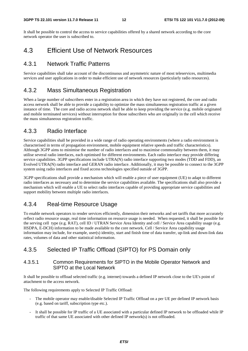It shall be possible to control the access to service capabilities offered by a shared network according to the core network operator the user is subscribed to.

## 4.3 Efficient Use of Network Resources

#### 4.3.1 Network Traffic Patterns

Service capabilities shall take account of the discontinuous and asymmetric nature of most teleservices, multimedia services and user applications in order to make efficient use of network resources (particularly radio resources).

#### 4.3.2 Mass Simultaneous Registration

When a large number of subscribers enter in a registration area in which they have not registered, the core and radio access network shall be able to provide a capability to optimize the mass simultaneous registration traffic at a given instance of time. The core and radio access network shall be able to keep providing the service (e.g. mobile originated and mobile terminated services) without interruption for those subscribers who are originally in the cell which receive the mass simultaneous registration traffic.

#### 4.3.3 Radio Interface

Service capabilities shall be provided in a wide range of radio operating environments (where a radio environment is characterised in terms of propagation environment, mobile equipment relative speeds and traffic characteristics). Although 3GPP aims to minimise the number of radio interfaces and to maximise commonality between them, it may utilise several radio interfaces, each optimised for different environments. Each radio interface may provide differing service capabilities. 3GPP specifications include UTRA(N) radio interface supporting two modes (TDD and FDD), an Evolved UTRA(N) radio interface and GERAN radio interface. Additionally, it may be possible to connect to the 3GPP system using radio interfaces and fixed access technologies specified outside of 3GPP.

3GPP specifications shall provide a mechanism which will enable a piece of user equipment (UE) to adapt to different radio interfaces as necessary and to determine the service capabilities available. The specifications shall also provide a mechanism which will enable a UE to select radio interfaces capable of providing appropriate service capabilities and support mobility between multiple radio interfaces.

#### 4.3.4 Real-time Resource Usage

To enable network operators to render services efficiently, dimension their networks and set tariffs that more accurately reflect radio resource usage, real time information on resource usage is needed. When requested, it shall be possible for the serving cell type (e.g. RAT), cell ID / UTRAN Service Area Identity and cell / Service Area capability usage (e.g. HSDPA, E-DCH) information to be made available to the core network. Cell / Service Area capability usage information may include, for example, user(s) identity, start and finish time of data transfer, up-link and down-link data rates, volumes of data and other statistical information.

#### 4.3.5 Selected IP Traffic Offload (SIPTO) for PS Domain only

#### 4.3.5.1 Common Requirements for SIPTO in the Mobile Operator Network and SIPTO at the Local Network

It shall be possible to offload selected traffic (e.g. internet) towards a defined IP network close to the UE's point of attachment to the access network.

The following requirements apply to Selected IP Traffic Offload:

- The mobile operator may enable/disable Selected IP Traffic Offload on a per UE per defined IP network basis (e.g. based on tariff, subscription type etc.).
- It shall be possible for IP traffic of a UE associated with a particular defined IP network to be offloaded while IP traffic of that same UE associated with other defined IP network(s) is not offloaded.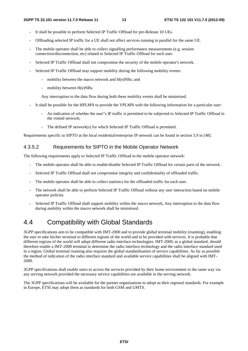- It shall be possible to perform Selected IP Traffic Offload for pre-Release 10 UEs.
- Offloading selected IP traffic for a UE shall not affect services running in parallel for the same UE.
- The mobile operator shall be able to collect signalling performance measurements (e.g. session connection/disconnection, etc) related to Selected IP Traffic Offload for each user.
- Selected IP Traffic Offload shall not compromise the security of the mobile operator's network.
- Selected IP Traffic Offload may support mobility during the following mobility events:
	- mobility between the macro network and H(e)NBs; and
	- mobility between H(e)NBs.

Any interruption to the data flow during both these mobility events shall be minimised.

- It shall be possible for the HPLMN to provide the VPLMN with the following information for a particular user:
	- An indication of whether the user"s IP traffic is permitted to be subjected to Selected IP Traffic Offload in the visited network;
	- The defined IP network(s) for which Selected IP Traffic Offload is permitted.

Requirements specific to SIPTO at the local residential/enterprise IP network can be found in section 5.9 in [48].

#### 4.3.5.2 Requirements for SIPTO in the Mobile Operator Network

The following requirements apply to Selected IP Traffic Offload in the mobile operator network:

- The mobile operator shall be able to enable/disable Selected IP Traffic Offload for certain parts of the network.
- Selected IP Traffic Offload shall not compromise integrity and confidentiality of offloaded traffic.
- The mobile operator shall be able to collect statistics for the offloaded traffic for each user.
- The network shall be able to perform Selected IP Traffic Offload without any user interaction based on mobile operator policies.
- Selected IP Traffic Offload shall support mobility within the macro network, Any interruption to the data flow during mobility within the macro network shall be minimised.

# 4.4 Compatibility with Global Standards

3GPP specifications aim to be compatible with IMT-2000 and to provide global terminal mobility (roaming), enabling the user to take his/her terminal to different regions of the world and to be provided with services. It is probable that different regions of the world will adopt different radio interface technologies. IMT-2000, as a global standard, should therefore enable a IMT-2000 terminal to determine the radio interface technology and the radio interface standard used in a region. Global terminal roaming also requires the global standardisation of service capabilities. As far as possible the method of indication of the radio interface standard and available service capabilities shall be aligned with IMT-2000.

3GPP specifications shall enable users to access the services provided by their home environment in the same way via any serving network provided the necessary service capabilities are available in the serving network.

The 3GPP specifications will be available for the partner organisations to adopt as their regional standards. For example in Europe, ETSI may adopt them as standards for both GSM and UMTS.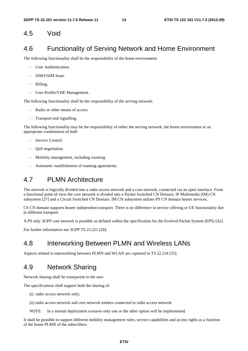#### 4.5 Void

## 4.6 Functionality of Serving Network and Home Environment

The following functionality shall be the responsibility of the home environment:

- User Authentication.
- SIM/USIM Issue.
- Billing.
- User Profile/VHE Management.

The following functionality shall be the responsibility of the serving network:

- Radio or other means of access.
- Transport and signalling.

The following functionality may be the responsibility of either the serving network, the home environment or an appropriate combination of both

- Service Control.
- OoS negotiation.
- Mobility management, including roaming.
- Automatic establishment of roaming agreements.

## 4.7 PLMN Architecture

The network is logically divided into a radio access network and a core network, connected via an open interface. From a functional point of view the core network is divided into a Packet Switched CN Domain, IP Multimedia (IM) CN subsystem [27] and a Circuit Switched CN Domain. IM CN subsystem utilises PS CN domain bearer services.

CS CN domain supports bearer independent transport. There is no difference in service offering or UE functionality due to different transport.

A PS only 3GPP core network is possible as defined within the specification for the Evolved Packet System (EPS) [42].

For further information see 3GPP TS 23.221 [20].

## 4.8 Interworking Between PLMN and Wireless LANs

Aspects related to interworking between PLMN and WLAN are captured in TS 22.234 [35].

## 4.9 Network Sharing

Network sharing shall be transparent to the user.

The specifications shall support both the sharing of:

- (i) radio access network only;
- (ii) radio access network and core network entities connected to radio access network

NOTE: In a normal deployment scenario only one or the other option will be implemented.

It shall be possible to support different mobility management rules, service capabilities and access rights as a function of the home PLMN of the subscribers.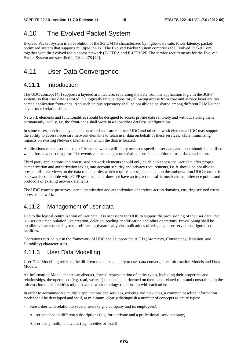# 4.10 The Evolved Packet System

Evolved Packet System is an evolution of the 3G UMTS characterized by higher-data-rate, lower-latency, packetoptimized system that supports multiple RATs. The Evolved Packet System comprises the Evolved Packet Core together with the evolved radio access network (E-UTRA and E-UTRAN).The service requirements for the Evolved Packet System are specified in TS22.278 [42].

# 4.11 User Data Convergence

## 4.11.1 Introduction

The UDC concept [45] supports a layered architecture, separating the data from the application logic in the 3GPP system, so that user data is stored in a logically unique repository allowing access from core and service layer entities, named application front-ends. And such unique repository shall be possible to be shared among different PLMNs that have trusted relationships.

Network elements and functionalities should be designed to access profile data remotely and without storing them permanently locally, i.e. the front-ends shall work in a subscriber dataless configuration.

In some cases, services may depend on user data scattered over UDC and other network elements. UDC may support the ability to access necessary network elements to fetch user data on behalf of these services, while minimizing impacts on existing Network Elements in which the data is located.

Applications can subscribe to specific events which will likely occur on specific user data, and those should be notified when those events do appear. The events can be changes on existing user data, addition of user data, and so on.

Third party applications and non trusted network elements should only be able to access the user data after proper authentication and authorization taking into account security and privacy requirements, i.e. it should be possible to present different views on the data to the parties which require access, dependent on the authorization.UDC concept is backwards compatible with 3GPP systems, i.e. it does not have an impact on traffic mechanisms, reference points and protocols of existing network elements.

The UDC concept preserves user authentication and authorization of services across domains, ensuring secured users" access to network.

## 4.11.2 Management of user data

Due to the logical centralization of user data, it is necessary for UDC to support the provisioning of the user data, that is, user data manipulation like creation, deletion, reading, modification and other operations. Provisioning shall be possible via an external system, self care or dynamically via applications offering e.g. user service configuration facilities.

Operations carried out in the framework of UDC shall support the ACID (Atomicity, Consistency, Isolation, and Durability) characteristics.

#### 4.11.3 User Data Modelling

User Data Modelling refers to the different models that apply to user data convergence: Information Models and Data Models.

An Information Model denotes an abstract, formal representation of entity types, including their properties and relationships, the operations (e.g. read, write…) that can be performed on them, and related rules and constraints. In the information model, entities might have network topology relationship with each other.

In order to accommodate multiple applications and services, existing and new ones, a common baseline information model shall be developed and shall, at minimum, clearly distinguish a number of concepts as entity types:

- Subscriber with relation to several users (e.g. a company and its employees),
- A user attached to different subscriptions (e.g. for a private and a professional service usage)
- A user using multiple devices (e.g. mobiles or fixed)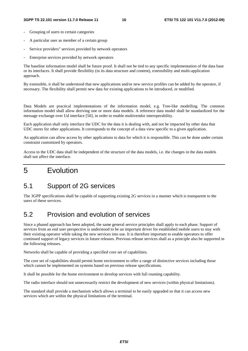- Grouping of users to certain categories
- A particular user as member of a certain group
- Service providers" services provided by network operators
- Enterprise services provided by network operators

The baseline information model shall be future proof. It shall not be tied to any specific implementation of the data base or its interfaces. It shall provide flexibility (in its data structure and content), extensibility and multi-application approach.

By extensible, it shall be understood that new applications and/or new service profiles can be added by the operator, if necessary. The flexibility shall permit new data for existing applications to be introduced, or modified.

Data Models are practical implementations of the information model, e.g. Tree-like modelling. The common information model shall allow deriving one or more data models. A reference data model shall be standardized for the message exchange over Ud interface [50], in order to enable multivendor interoperability.

Each application shall only interface the UDC for the data it is dealing with, and not be impacted by other data that UDC stores for other applications. It corresponds to the concept of a data view specific to a given application.

An application can allow access by other applications to data for which it is responsible. This can be done under certain constraint customized by operators.

Access to the UDC data shall be independent of the structure of the data models, i.e. the changes in the data models shall not affect the interface.

# 5 Evolution

## 5.1 Support of 2G services

The 3GPP specifications shall be capable of supporting existing 2G services in a manner which is transparent to the users of these services.

## 5.2 Provision and evolution of services

Since a phased approach has been adopted, the same general service principles shall apply to each phase. Support of services from an end user perspective is understood to be an important driver for established mobile users to stay with their existing operator while taking the new services into use. It is therefore important to enable operators to offer continued support of legacy services in future releases. Previous release services shall as a principle also be supported in the following releases.

Networks shall be capable of providing a specified core set of capabilities.

The core set of capabilities should permit home environment to offer a range of distinctive services including those which cannot be implemented on systems based on previous release specifications.

It shall be possible for the home environment to develop services with full roaming capability.

The radio interface should not unnecessarily restrict the development of new services (within physical limitations).

The standard shall provide a mechanism which allows a terminal to be easily upgraded so that it can access new services which are within the physical limitations of the terminal.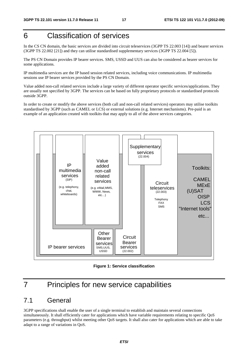# 6 Classification of services

In the CS CN domain, the basic services are divided into circuit teleservices (3GPP TS 22.003 [14]) and bearer services (3GPP TS 22.002 [21]) and they can utilise standardised supplementary services (3GPP TS 22.004 [5]).

The PS CN Domain provides IP bearer services. SMS, USSD and UUS can also be considered as bearer services for some applications.

IP multimedia services are the IP based session related services, including voice communications. IP multimedia sessions use IP bearer services provided by the PS CN Domain.

Value added non-call related services include a large variety of different operator specific services/applications. They are usually not specified by 3GPP. The services can be based on fully proprietary protocols or standardised protocols outside 3GPP.

In order to create or modify the above services (both call and non-call related services) operators may utilise toolkits standardised by 3GPP (such as CAMEL or LCS) or external solutions (e.g. Internet mechanisms). Pre-paid is an example of an application created with toolkits that may apply to all of the above services categories.



**Figure 1: Service classification** 

# 7 Principles for new service capabilities

## 7.1 General

3GPP specifications shall enable the user of a single terminal to establish and maintain several connections simultaneously. It shall efficiently cater for applications which have variable requirements relating to specific QoS parameters (e.g. throughput) whilst meeting other QoS targets. It shall also cater for applications which are able to take adapt to a range of variations in QoS.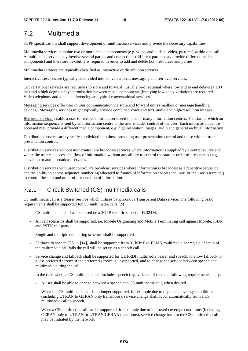## 7.2 Multimedia

3GPP specifications shall support development of multimedia services and provide the necessary capabilities.

Multimedia services combine two or more media components (e.g. voice, audio, data, video, pictures) within one call. A multimedia service may involve several parties and connections (different parties may provide different media components) and therefore flexibility is required in order to add and delete both resources and parties.

Multimedia services are typically classified as interactive or distribution services.

Interactive services are typically subdivided into conversational, messaging and retrieval services:

Conversational services are real time (no store and forward), usually bi-directional where low end to end delays (< 100 ms) and a high degree of synchronisation between media components (implying low delay variation) are required. Video telephony and video conferencing are typical conversational services."

Messaging services offer user to user communication via store and forward units (mailbox or message handling devices). Messaging services might typically provide combined voice and text, audio and high-resolution images.

Retrieval services enable a user to retrieve information stored in one or many information centres. The start at which an information sequence is sent by an information centre to the user is under control of the user. Each information centre accessed may provide a different media component, e.g. high resolution images, audio and general archival information.

Distribution services are typically subdivided into those providing user presentation control and those without user presentation control.

Distribution services without user control are broadcast services where information is supplied by a central source and where the user can access the flow of information without any ability to control the start or order of presentation e.g. television or audio broadcast services.

Distribution services with user control are broadcast services where information is broadcast as a repetitive sequence and the ability to access sequence numbering allocated to frames of information enables the user (or the user"s terminal) to control the start and order of presentation of information.

#### 7.2.1 Circuit Switched (CS) multimedia calls

CS multimedia call is a Bearer Service which utilises Synchronous Transparent Data service. The following basic requirements shall be supported for CS multimedia calls [24]:

- CS multimedia call shall be based on a 3GPP specific subset of H.324M.
- All call scenarios shall be supported, i.e. Mobile Originating and Mobile Terminating call against Mobile, ISDN and PSTN call party.
- Single and multiple numbering schemes shall be supported.
- Fallback to speech (TS 11 [14]) shall be supported from 3.1kHz Ext. PLMN multimedia bearer, i.e. if setup of the multimedia call fails the call will be set up as a speech call.
- Service change and fallback shall be supported for UDI/RDI multimedia bearer and speech, to allow fallback to a less preferred service if the preferred service is unsupported, and to change the service between speech and multimedia during the call.
- In the case where a CS multimedia call includes speech (e.g. video call) then the following requirements apply:
	- A user shall be able to change between a speech and CS multimedia call, when desired.
	- When the CS multimedia call is no longer supported, for example due to degraded coverage conditions (including UTRAN to GERAN only transitions), service change shall occur automatically from a CS multimedia call to speech.
	- When a CS multimedia call can be supported, for example due to improved coverage conditions (including GERAN only to UTRAN or UTRAN/GERAN transitions), service change back to the CS multimedia call may be initiated by the network.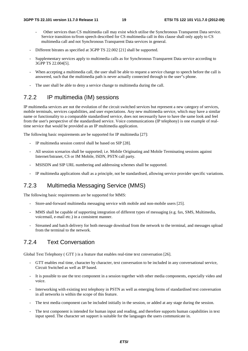- Other services than CS multimedia call may exist which utilise the Synchronous Transparent Data service. Service transition to/from speech described for CS multimedia call in this clause shall only apply to CS multimedia call and not Synchronous Transparent Data services in general.
- Different bitrates as specified at 3GPP TS 22.002 [21] shall be supported.
- Supplementary services apply to multimedia calls as for Synchronous Transparent Data service according to 3GPP TS 22.004[5].
- When accepting a multimedia call, the user shall be able to request a service change to speech before the call is answered, such that the multimedia path is never actually connected through to the user"s phone.
- The user shall be able to deny a service change to multimedia during the call.

#### 7.2.2 IP multimedia (IM) sessions

IP multimedia services are not the evolution of the circuit switched services but represent a new category of services, mobile terminals, services capabilities, and user expectations. Any new multimedia service, which may have a similar name or functionality to a comparable standardised service, does not necessarily have to have the same look and feel from the user's perspective of the standardised service. Voice communications (IP telephony) is one example of realtime service that would be provided as an IP multimedia application.

The following basic requirements are be supported for IP multimedia [27]:

- IP multimedia session control shall be based on SIP [28].
- All session scenarios shall be supported; i.e. Mobile Originating and Mobile Terminating sessions against Internet/Intranet, CS or IM Mobile, ISDN, PSTN call party.
- MSISDN and SIP URL numbering and addressing schemes shall be supported.
- IP multimedia applications shall as a principle, not be standardised, allowing service provider specific variations.

#### 7.2.3 Multimedia Messaging Service (MMS)

The following basic requirements are be supported for MMS:

- Store-and-forward multimedia messaging service with mobile and non-mobile users [25].
- MMS shall be capable of supporting integration of different types of messaging (e.g. fax, SMS, Multimedia, voicemail, e-mail etc.) in a consistent manner.
- Streamed and batch delivery for both message download from the network to the terminal, and messages upload from the terminal to the network.

#### 7.2.4 Text Conversation

Global Text Telephony ( GTT ) is a feature that enables real-time text conversation [26].

- GTT enables real time, character by character, text conversation to be included in any conversational service, Circuit Switched as well as IP based.
- It is possible to use the text component in a session together with other media components, especially video and voice.
- Interworking with existing text telephony in PSTN as well as emerging forms of standardised text conversation in all networks is within the scope of this feature.
- The text media component can be included initially in the session, or added at any stage during the session.
- The text component is intended for human input and reading, and therefore supports human capabilities in text input speed. The character set support is suitable for the languages the users communicate in.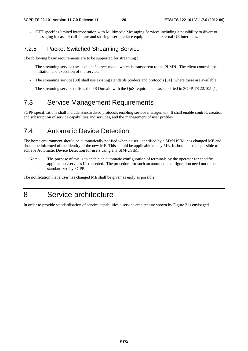- GTT specifies limited interoperation with Multimedia Messaging Services including a possibility to divert to messaging in case of call failure and sharing user interface equipment and external UE interfaces.

#### 7.2.5 Packet Switched Streaming Service

The following basic requirements are to be supported for streaming :

- The streaming service uses a client / server model which is transparent to the PLMN. The client controls the initiation and execution of the service.
- The streaming service [30] shall use existing standards (codecs and protocols [31]) where these are available.
- The streaming service utilises the PS Domain with the QoS requirements as specified in 3GPP TS 22.105 [1].

## 7.3 Service Management Requirements

3GPP specifications shall include standardised protocols enabling service management. It shall enable control, creation and subscription of service capabilities and services, and the management of user profiles.

### 7.4 Automatic Device Detection

The home environment should be automatically notified when a user, identified by a SIM/USIM, has changed ME and should be informed of the identity of the new ME. This should be applicable to any ME. It should also be possible to achieve Automatic Device Detection for users using any SIM/USIM.

Note: The purpose of this is to enable an automatic configuration of terminals by the operator for specific applications/services if so needed. The procedure for such an automatic configuration need not to be standardized by 3GPP.

The notification that a user has changed ME shall be given as early as possible.

# 8 Service architecture

In order to provide standardisation of service capabilities a service architecture shown by Figure 2 is envisaged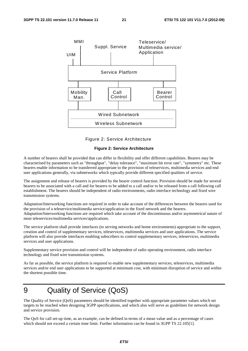

Figure 2: Service Architecture

#### **Figure 2: Service Architecture**

A number of bearers shall be provided that can differ in flexibility and offer different capabilities. Bearers may be characterised by parameters such as "throughput", "delay tolerance", "maximum bit error rate", "symmetry" etc. These bearers enable information to be transferred appropriate to the provision of teleservices, multimedia services and end user applications generally, via subnetworks which typically provide different specified qualities of service.

The assignment and release of bearers is provided by the bearer control function. Provision should be made for several bearers to be associated with a call and for bearers to be added to a call and/or to be released from a call following call establishment. The bearers should be independent of radio environments, radio interface technology and fixed wire transmission systems.

Adaptation/Interworking functions are required in order to take account of the differences between the bearers used for the provision of a teleservice/multimedia service/application in the fixed network and the bearers. Adaptation/Interworking functions are required which take account of the discontinuous and/or asymmetrical nature of most teleservices/multimedia services/applications.

The service platform shall provide interfaces (to serving networks and home environments) appropriate to the support, creation and control of supplementary services, teleservices, multimedia services and user applications. The service platform will also provide interfaces enabling subscribers to control supplementary services, teleservices, multimedia services and user applications.

Supplementary service provision and control will be independent of radio operating environment, radio interface technology and fixed wire transmission systems.

As far as possible, the service platform is required to enable new supplementary services, teleservices, multimedia services and/or end user applications to be supported at minimum cost, with minimum disruption of service and within the shortest possible time.

# 9 Quality of Service (QoS)

The Quality of Service (QoS) parameters should be identified together with appropriate parameter values which set targets to be reached when designing 3GPP specifications, and which also will serve as guidelines for network design and service provision.

The QoS for call set-up time, as an example, can be defined in terms of a mean value and as a percentage of cases which should not exceed a certain time limit. Further information can be found in 3GPP TS 22.105[1].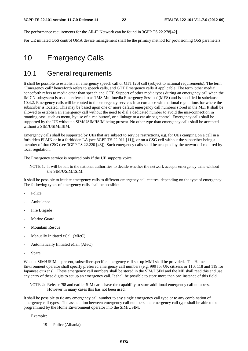The performance requirements for the All-IP Network can be found in 3GPP TS 22.278[42].

For UE initiated QoS control OMA device management shall be the primary method for provisioning QoS parameters.

# 10 Emergency Calls

### 10.1 General requirements

It shall be possible to establish an emergency speech call or GTT [26] call (subject to national requirements). The term "Emergency call" henceforth refers to speech calls, and GTT Emergency calls if applicable. The term 'other media' henceforth refers to media other than speech and GTT. Support of other media types during an emergency call when the IM CN subsystem is used is referred to as 'IMS Multimedia Emergency Session' (MES) and is specified in subclause 10.4.2. Emergency calls will be routed to the emergency services in accordance with national regulations for where the subscriber is located. This may be based upon one or more default emergency call numbers stored in the ME. It shall be allowed to establish an emergency call without the need to dial a dedicated number to avoid the mis-connection in roaming case, such as menu, by use of a 'red button', or a linkage to a car air bag control. Emergency calls shall be supported by the UE without a SIM/USIM/ISIM being present. No other type than emergency calls shall be accepted without a SIM/USIM/ISIM.

Emergency calls shall be supported by UEs that are subject to service restrictions, e.g. for UEs camping on a cell in a forbidden PLMN or in a forbidden LA (see 3GPP TS 22.011 [11]), or on a CSG cell without the subscriber being a member of that CSG (see 3GPP TS 22.220 [48]). Such emergency calls shall be accepted by the network if required by local regulation.

The Emergency service is required only if the UE supports voice.

NOTE 1: It will be left to the national authorities to decide whether the network accepts emergency calls without the SIM/USIM/ISIM.

It shall be possible to initiate emergency calls to different emergency call centres, depending on the type of emergency. The following types of emergency calls shall be possible:

- Police
- Ambulance
- Fire Brigade
- Marine Guard
- Mountain Rescue
- Manually Initiated eCall (MIeC)
- Automatically Initiated eCall (AIeC)
- Spare

When a SIM/USIM is present, subscriber specific emergency call set-up MMI shall be provided. The Home Environment operator shall specify preferred emergency call numbers (e.g. 999 for UK citizens or 110, 118 and 119 for Japanese citizens). These emergency call numbers shall be stored in the SIM/USIM and the ME shall read this and use any entry of these digits to set up an emergency call. It shall be possible to store more than one instance of this field.

NOTE 2: Release '98 and earlier SIM cards have the capability to store additional emergency call numbers. However in many cases this has not been used.

It shall be possible to tie any emergency call number to any single emergency call type or to any combination of emergency call types. The association between emergency call numbers and emergency call type shall be able to be programmed by the Home Environment operator into the SIM/USIM.

Example:

19 Police (Albania)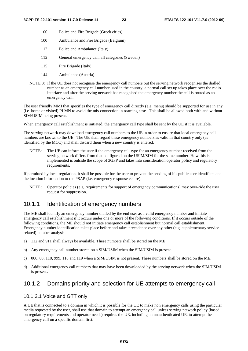- 100 Police and Fire Brigade (Greek cities)
- 100 Ambulance and Fire Brigade (Belgium)
- 112 Police and Ambulance (Italy)
- 112 General emergency call, all categories (Sweden)
- 115 Fire Brigade (Italy)
- 144 Ambulance (Austria)
- NOTE 3: If the UE does not recognise the emergency call numbers but the serving network recognises the dialled number as an emergency call number used in the country, a normal call set up takes place over the radio interface and after the serving network has recognised the emergency number the call is routed as an emergency call.

The user friendly MMI that specifies the type of emergency call directly (e.g. menu) should be supported for use in any (i.e. home or visited) PLMN to avoid the mis-connection in roaming case. This shall be allowed both with and without SIM/USIM being present.

When emergency call establishment is initiated, the emergency call type shall be sent by the UE if it is available.

The serving network may download emergency call numbers to the UE in order to ensure that local emergency call numbers are known to the UE. The UE shall regard these emergency numbers as valid in that country only (as identified by the MCC) and shall discard them when a new country is entered.

NOTE: The UE can inform the user if the emergency call type for an emergency number received from the serving network differs from that configured on the USIM/SIM for the same number. How this is implemented is outside the scope of 3GPP and takes into consideration operator policy and regulatory requirements.

If permitted by local regulation, it shall be possible for the user to prevent the sending of his public user identifiers and the location information to the PSAP (i.e. emergency response centre).

NOTE: Operator policies (e.g. requirements for support of emergency communications) may over-ride the user request for suppression.

#### 10.1.1 Identification of emergency numbers

The ME shall identify an emergency number dialled by the end user as a valid emergency number and initiate emergency call establishment if it occurs under one or more of the following conditions. If it occurs outside of the following conditions, the ME should not initiate emergency call establishment but normal call establishment. Emergency number identification takes place before and takes precedence over any other (e.g. supplementary service related) number analysis.

- a) 112 and 911 shall always be available. These numbers shall be stored on the ME.
- b) Any emergency call number stored on a SIM/USIM when the SIM/USIM is present.
- c) 000, 08, 110, 999, 118 and 119 when a SIM/USIM is not present. These numbers shall be stored on the ME.
- d) Additional emergency call numbers that may have been downloaded by the serving network when the SIM/USIM is present.

#### 10.1.2 Domains priority and selection for UE attempts to emergency call

#### 10.1.2.1 Voice and GTT only

A UE that is connected to a domain in which it is possible for the UE to make non emergency calls using the particular media requested by the user, shall use that domain to attempt an emergency call unless serving network policy (based on regulatory requirements and operator needs) requires the UE, including an unauthenticated UE, to attempt the emergency call on a specific domain first.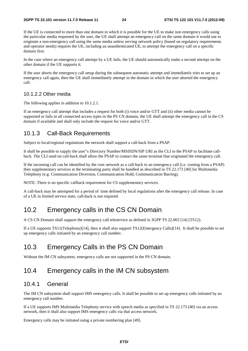If the UE is connected to more than one domain in which it is possible for the UE to make non emergency calls using the particular media requested by the user, the UE shall attempt an emergency call on the same domain it would use to originate a non-emergency call using the same media unless serving network policy (based on regulatory requirements and operator needs) requires the UE, including an unauthenticated UE, to attempt the emergency call on a specific domain first.

In the case where an emergency call attempt by a UE fails, the UE should automatically make a second attempt on the other domain if the UE supports it.

If the user aborts the emergency call setup during the subsequent automatic attempt and immediately tries to set up an emergency call again, then the UE shall immediately attempt in the domain in which the user aborted the emergency call.

#### 10.1.2.2 Other media

The following applies in addition to 10.1.2.1.

If an emergency call attempt that includes a request for both (i) voice and/or GTT and (ii) other media cannot be supported or fails in all connected access types in the PS CN domain, the UE shall attempt the emergency call in the CS domain if available and shall only include the request for voice and/or GTT.

#### 10.1.3 Call-Back Requirements

Subject to local/regional regulations the network shall support a call-back from a PSAP.

It shall be possible to supply the user"s Directory Number/MSISDN/SIP URI as the CLI to the PSAP to facilitate callback. The CLI used on call-back shall allow the PSAP to contact the same terminal that originated the emergency call.

If the incoming call can be identified by the core network as a call-back to an emergency call (i.e. coming from a PSAP) then supplementary services at the terminating party shall be handled as described in TS 22.173 [40] for Multimedia Telephony (e.g. Communication Diversion, Communication Hold, Communication Barring).

NOTE: There is no specific callback requirement for CS supplementary services.

A call-back may be attempted for a period of time defined by local regulations after the emergency call release. In case of a UE in limited service state, call-back is not required.

## 10.2 Emergency calls in the CS CN Domain

A CS CN Domain shall support the emergency call teleservice as defined in 3GPP TS 22.003 [14] (TS12).

If a UE supports TS11(Telephony)[14], then it shall also support TS12(Emergency Calls)[14]. It shall be possible to set up emergency calls initiated by an emergency call number.

## 10.3 Emergency Calls in the PS CN Domain

Without the IM CN subsystem, emergency calls are not supported in the PS CN domain.

## 10.4 Emergency calls in the IM CN subsystem

#### 10.4.1 General

The IM CN subsystem shall support IMS emergency calls. It shall be possible to set up emergency calls initiated by an emergency call number.

If a UE supports IMS Multimedia Telephony service with speech media as specified in TS 22.173 [40] via an access network, then it shall also support IMS emergency calls via that access network.

Emergency calls may be initiated using a private numbering plan [49].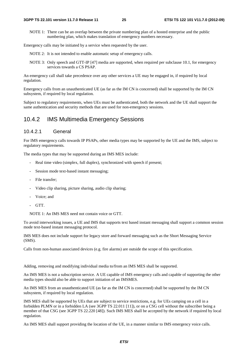NOTE 1: There can be an overlap between the private numbering plan of a hosted enterprise and the public numbering plan, which makes translation of emergency numbers necessary.

Emergency calls may be initiated by a service when requested by the user.

NOTE 2: It is not intended to enable automatic setup of emergency calls.

NOTE 3: Only speech and GTT-IP [47] media are supported, when required per subclause 10.1, for emergency services towards a CS PSAP.

An emergency call shall take precedence over any other services a UE may be engaged in, if required by local regulation.

Emergency calls from an unauthenticated UE (as far as the IM CN is concerned) shall be supported by the IM CN subsystem, if required by local regulation.

Subject to regulatory requirements, when UEs must be authenticated, both the network and the UE shall support the same authentication and security methods that are used for non-emergency sessions.

#### 10.4.2 IMS Multimedia Emergency Sessions

#### 10.4.2.1 General

For IMS emergency calls towards IP PSAPs, other media types may be supported by the UE and the IMS, subject to regulatory requirements.

The media types that may be supported during an IMS MES include:

- Real time video (simplex, full duplex), synchronized with speech if present;
- Session mode text-based instant messaging;
- File transfer;
- Video clip sharing, picture sharing, audio clip sharing;
- Voice: and
- GTT.

NOTE 1: An IMS MES need not contain voice or GTT.

To avoid interworking issues, a UE and IMS that supports text based instant messaging shall support a common session mode text-based instant messaging protocol.

IMS MES does not include support for legacy store and forward messaging such as the Short Messaging Service (SMS).

Calls from non-human associated devices (e.g. fire alarms) are outside the scope of this specification.

Adding, removing and modifying individual media to/from an IMS MES shall be supported.

An IMS MES is not a subscription service. A UE capable of IMS emergency calls and capable of supporting the other media types should also be able to support initiation of an IMSMES.

An IMS MES from an unauthenticated UE (as far as the IM CN is concerned) shall be supported by the IM CN subsystem, if required by local regulation.

IMS MES shall be supported by UEs that are subject to service restrictions, e.g. for UEs camping on a cell in a forbidden PLMN or in a forbidden LA (see 3GPP TS 22.011 [11]), or on a CSG cell without the subscriber being a member of that CSG (see 3GPP TS 22.220 [48]). Such IMS MES shall be accepted by the network if required by local regulation.

An IMS MES shall support providing the location of the UE, in a manner similar to IMS emergency voice calls.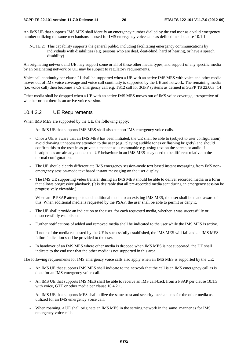An IMS UE that supports IMS MES shall identify an emergency number dialled by the end user as a valid emergency number utilizing the same mechanisms as used for IMS emergency voice calls as defined in subclause 10.1.1.

NOTE 2: This capability supports the general public, including facilitating emergency communications by individuals with disabilities (e.g. persons who are deaf, deaf-blind, hard of hearing, or have a speech disability).

An originating network and UE may support some or all of these other media types, and support of any specific media by an originating network or UE may be subject to regulatory requirements.

Voice call continuity per clause 21 shall be supported when a UE with an active IMS MES with voice and other media moves out of IMS voice coverage and voice call continuity is supported by the UE and network. The remaining media (i.e. voice call) then becomes a CS emergency call e.g. TS12 call for 3GPP systems as defined in 3GPP TS 22.003 [14].

Other media shall be dropped when a UE with an active IMS MES moves out of IMS voice coverage, irrespective of whether or not there is an active voice session.

#### 10.4.2.2 UE Requirements

When IMS MES are supported by the UE, the following apply:

- An IMS UE that supports IMS MES shall also support IMS emergency voice calls.
- Once a UE is aware that an IMS MES has been initiated, the UE shall be able to (subject to user configuration) avoid drawing unnecessary attention to the user (e.g., playing audible tones or flashing brightly) and should confirm this to the user in as private a manner as is reasonable e.g. using text on the screen or audio if headphones are already connected. UE behaviour in an IMS MES may need to be different relative to the normal configuration.
- The UE should clearly differentiate IMS emergency session-mode text based instant messaging from IMS nonemergency session-mode text based instant messaging on the user display.
- The IMS UE supporting video transfer during an IMS MES should be able to deliver recorded media in a form that allows progressive playback. (It is desirable that all pre-recorded media sent during an emergency session be progressively viewable.)
- When an IP PSAP attempts to add additional media to an existing IMS MES, the user shall be made aware of this. When additional media is requested by the PSAP, the user shall be able to permit or deny it.
- The UE shall provide an indication to the user for each requested media, whether it was successfully or unsuccessfully established.
- Further notifications of added and removed media shall be indicated to the user while the IMS MES is active.
- If none of the media requested by the UE is successfully established, the IMS MES will fail and an IMS MES failure indication shall be provided to the user.
- In handover of an IMS MES where other media is dropped when IMS MES is not supported, the UE shall indicate to the end user that the other media is not supported in this area.

The following requirements for IMS emergency voice calls also apply when an IMS MES is supported by the UE:

- An IMS UE that supports IMS MES shall indicate to the network that the call is an IMS emergency call as is done for an IMS emergency voice call.
- An IMS UE that supports IMS MES shall be able to receive an IMS call-back from a PSAP per clause 10.1.3 with voice, GTT or other media per clause 10.4.2.1.
- An IMS UE that supports MES shall utilize the same trust and security mechanisms for the other media as utilized for an IMS emergency voice call.
- When roaming, a UE shall originate an IMS MES in the serving network in the same manner as for IMS emergency voice calls.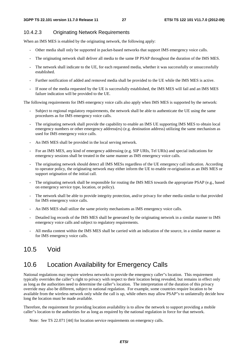#### 10.4.2.3 Originating Network Requirements

When an IMS MES is enabled by the originating network, the following apply:

- Other media shall only be supported in packet-based networks that support IMS emergency voice calls.
- The originating network shall deliver all media to the same IP PSAP throughout the duration of the IMS MES.
- The network shall indicate to the UE, for each requested media, whether it was successfully or unsuccessfully established.
- Further notification of added and removed media shall be provided to the UE while the IMS MES is active.
- If none of the media requested by the UE is successfully established, the IMS MES will fail and an IMS MES failure indication will be provided to the UE.

The following requirements for IMS emergency voice calls also apply when IMS MES is supported by the network:

- Subject to regional regulatory requirements, the network shall be able to authenticate the UE using the same procedures as for IMS emergency voice calls.
- The originating network shall provide the capability to enable an IMS UE supporting IMS MES to obtain local emergency numbers or other emergency address(es) (e.g. destination address) utilizing the same mechanism as used for IMS emergency voice calls.
- An IMS MES shall be provided in the local serving network.
- For an IMS MES, any kind of emergency addressing (e.g. SIP URIs, Tel URIs) and special indications for emergency sessions shall be treated in the same manner as IMS emergency voice calls.
- The originating network should detect all IMS MESs regardless of the UE emergency call indication. According to operator policy, the originating network may either inform the UE to enable re-origination as an IMS MES or support origination of the initial call.
- The originating network shall be responsible for routing the IMS MES towards the appropriate PSAP (e.g., based on emergency service type, location, or policy).
- The network shall be able to provide integrity protection, and/or privacy for other media similar to that provided for IMS emergency voice calls.
- An IMS MES shall utilize the same priority mechanisms as IMS emergency voice calls.
- Detailed log records of the IMS MES shall be generated by the originating network in a similar manner to IMS emergency voice calls and subject to regulatory requirements.
- All media content within the IMS MES shall be carried with an indication of the source, in a similar manner as for IMS emergency voice calls.

## 10.5 Void

## 10.6 Location Availability for Emergency Calls

National regulations may require wireless networks to provide the emergency caller"s location. This requirement typically overrides the caller"s right to privacy with respect to their location being revealed, but remains in effect only as long as the authorities need to determine the caller"s location. The interpretation of the duration of this privacy override may also be different, subject to national regulation. For example, some countries require location to be available from the wireless network only while the call is up, while others may allow PSAP"s to unilaterally decide how long the location must be made available.

Therefore, the requirement for providing location availability is to allow the network to support providing a mobile caller"s location to the authorities for as long as required by the national regulation in force for that network.

Note: See TS 22.071 [44] for location service requirements on emergency calls.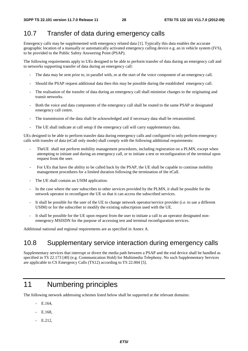## 10.7 Transfer of data during emergency calls

Emergency calls may be supplemented with emergency related data [1]. Typically this data enables the accurate geographic location of a manually or automatically activated emergency calling device e.g. an in vehicle system (IVS), to be provided to the Public Safety Answering Point (PSAP).

The following requirements apply to UEs designed to be able to perform transfer of data during an emergency call and to networks supporting transfer of data during an emergency call:

- The data may be sent prior to, in parallel with, or at the start of the voice component of an emergency call.
- Should the PSAP request additional data then this may be possible during the established emergency call.
- The realisation of the transfer of data during an emergency call shall minimise changes to the originating and transit networks.
- Both the voice and data components of the emergency call shall be routed to the same PSAP or designated emergency call centre.
- The transmission of the data shall be acknowledged and if necessary data shall be retransmitted.
- The UE shall indicate at call setup if the emergency call will carry supplementary data.

UEs designed to be able to perform transfer data during emergency calls and configured to only perform emergency calls with transfer of data (eCall only mode) shall comply with the following additional requirements:

- The UE shall not perform mobility management procedures, including registration on a PLMN, except when attempting to initiate and during an emergency call, or to initiate a test or reconfiguration of the terminal upon request from the user.
- For UEs that have the ability to be called back by the PSAP, the UE shall be capable to continue mobility management procedures for a limited duration following the termination of the eCall.
- The UE shall contain an USIM application.
- In the case where the user subscribes to other services provided by the PLMN, it shall be possible for the network operator to reconfigure the UE so that it can access the subscribed services.
- It shall be possible for the user of the UE to change network operator/service provider (i.e. to use a different USIM) or for the subscriber to modify the existing subscription used with the UE.
- It shall be possible for the UE upon request from the user to initiate a call to an operator designated nonemergency MSISDN for the purpose of accessing test and terminal reconfiguration services.

Additional national and regional requirements are as specified in Annex A.

## 10.8 Supplementary service interaction during emergency calls

Supplementary services that interrupt or divert the media path between a PSAP and the end device shall be handled as specified in TS 22.173 [40] (e.g. Communication Hold) for Multimedia Telephony. No such Supplementary Services are applicable to CS Emergency Calls (TS12) according to TS 22.004 [5].

# 11 Numbering principles

The following network addressing schemes listed below shall be supported at the relevant domains:

- $-$  E.164
- E.168,
- E.212,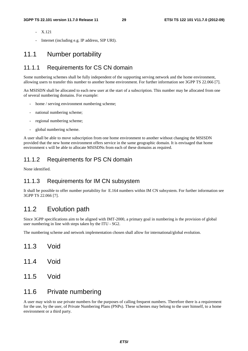- X.121
- Internet (including e.g. IP address, SIP URI).

#### 11.1 Number portability

#### 11.1.1 Requirements for CS CN domain

Some numbering schemes shall be fully independent of the supporting serving network and the home environment, allowing users to transfer this number to another home environment. For further information see 3GPP TS 22.066 [7].

An MSISDN shall be allocated to each new user at the start of a subscription. This number may be allocated from one of several numbering domains. For example:

- home / serving environment numbering scheme;
- national numbering scheme;
- regional numbering scheme;
- global numbering scheme.

A user shall be able to move subscription from one home environment to another without changing the MSISDN provided that the new home environment offers service in the same geographic domain. It is envisaged that home environment s will be able to allocate MSISDNs from each of these domains as required.

#### 11.1.2 Requirements for PS CN domain

None identified.

#### 11.1.3 Requirements for IM CN subsystem

It shall be possible to offer number portability for E.164 numbers within IM CN subsystem. For further information see 3GPP TS 22.066 [7].

## 11.2 Evolution path

Since 3GPP specifications aim to be aligned with IMT-2000, a primary goal in numbering is the provision of global user numbering in line with steps taken by the ITU - SG2.

The numbering scheme and network implementation chosen shall allow for international/global evolution.

- 11.3 Void
- 11.4 Void
- 11.5 Void

#### 11.6 Private numbering

A user may wish to use private numbers for the purposes of calling frequent numbers. Therefore there is a requirement for the use, by the user, of Private Numbering Plans (PNPs). These schemes may belong to the user himself, to a home environment or a third party.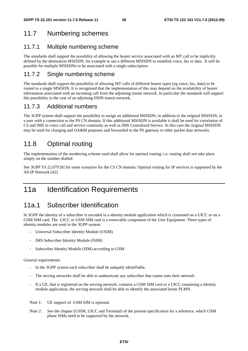## 11.7 Numbering schemes

#### 11.7.1 Multiple numbering scheme

The standards shall support the possiblity of allowing the bearer service associated with an MT call to be implicitly defined by the destination MSISDN, for example to use a different MSISDN to establish voice, fax or data . It will be possible for multiple MSISDNs to be associated with a single subscription.

#### 11.7.2 Single numbering scheme

The standards shall support the possibility of allowing MT calls of different bearer types (eg voice, fax, data) to be routed to a single MSISDN. It is recognised that the implementation of this may depend on the availability of bearer information associated with an incoming call from the adjoining transit network. In particular the standards will support this possibility in the case of an adjoining ISDN transit network.

#### 11.7.3 Additional numbers

The 3GPP system shall support the possibility to assign an additional MSISDN, in addition to the original MSISDN, to a user with a connection to the PS CN domain. If this additional MSISDN is available it shall be used for correlation of CS and IMS in voice call and service continuity as well as IMS Centralized Service. In this case the original MSISDN may be used for charging and OA&M purposes and forwarded to the PS gateway to other packet data networks.

# 11.8 Optimal routing

The implementation of the numbering scheme used shall allow for optimal routing; i.e. routing shall not take place simply on the number dialled.

See 3GPP TS 22.079 [8] for some scenarios for the CS CN domain. Optimal routing for IP services is supported by the All-IP Network [42].

# 11a Identification Requirements

## 11a.1 Subscriber Identification

In 3GPP the identity of a subscriber is encoded in a identity module application which is contained on a UICC or on a GSM SIM card. The UICC or GSM SIM card is a removable component of the User Equipment. Three types of identity modules are used in the 3GPP system:

- Universal Subscriber Identity Module (USIM)
- IMS Subscriber Identity Module (ISIM)
- Subscriber Identity Module (SIM) according to GSM

General requirements:

- In the 3GPP system each subscriber shall be uniquely identifiable.
- The serving networks shall be able to authenticate any subscriber that roams onto their network
- If a UE, that is registered on the serving network, contains a GSM SIM card or a UICC containing a identity module application, the serving network shall be able to identify the associated home PLMN.

Note 1: UE support of GSM SIM is optional.

Note 2: See the chapter (USIM, UICC and Terminal) of the present specification for a reference, which GSM phase SIMs need to be supported by the network.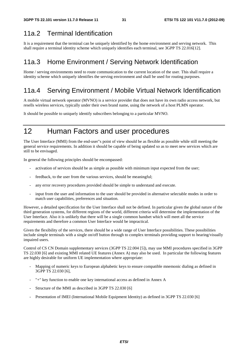## 11a.2 Terminal Identification

It is a requirement that the terminal can be uniquely identified by the home environment and serving network. This shall require a terminal identity scheme which uniquely identifies each terminal, see 3GPP TS 22.016[12].

## 11a.3 Home Environment / Serving Network Identification

Home / serving environments need to route communication to the current location of the user. This shall require a identity scheme which uniquely identifies the serving environment and shall be used for routing purposes.

## 11a.4 Serving Environment / Mobile Virtual Network Identification

A mobile virtual network operator (MVNO) is a service provider that does not have its own radio access network, but resells wireless services, typically under their own brand name, using the network of a host PLMN operator.

It should be possible to uniquely identify subscribers belonging to a particular MVNO.

# 12 Human Factors and user procedures

The User Interface (MMI) from the end-user"s point of view should be as flexible as possible while still meeting the general service requirements. In addition it should be capable of being updated so as to meet new services which are still to be envisaged.

In general the following principles should be encompassed:

- activation of services should be as simple as possible with minimum input expected from the user;
- feedback, to the user from the various services, should be meaningful;
- any error recovery procedures provided should be simple to understand and execute.
- input from the user and information to the user should be provided in alternative selectable modes in order to match user capabilities, preferences and situation.

However, a detailed specification for the User Interface shall not be defined. In particular given the global nature of the third generation systems, for different regions of the world, different criteria will determine the implementation of the User Interface. Also it is unlikely that there will be a single common handset which will meet all the service requirements and therefore a common User Interface would be impractical.

Given the flexibility of the services, there should be a wide range of User Interface possibilities. These possibilities include simple terminals with a single on/off button through to complex terminals providing support to hearing/visually impaired users.

Control of CS CN Domain supplementary services (3GPP TS 22.004 [5]), may use MMI procedures specified in 3GPP TS 22.030 [6] and existing MMI related UE features (Annex A) may also be used. In particular the following features are highly desirable for uniform UE implementation where appropriate:

- Mapping of numeric keys to European alphabetic keys to ensure compatible mnemonic dialing as defined in 3GPP TS 22.030 [6],
- "+" key function to enable one key international access as defined in Annex A
- Structure of the MMI as described in 3GPP TS 22.030 [6]
- Presentation of IMEI (International Mobile Equipment Identity) as defined in 3GPP TS 22.030 [6]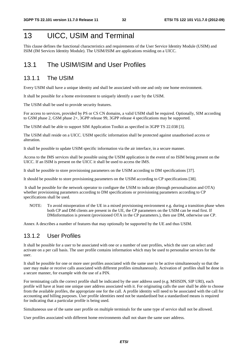# 13 UICC, USIM and Terminal

This clause defines the functional characteristics and requirements of the User Service Identity Module (USIM) and ISIM (IM Services Identity Module). The USIM/ISIM are applications residing on a UICC.

## 13.1 The USIM/ISIM and User Profiles

#### 13.1.1 The USIM

Every USIM shall have a unique identity and shall be associated with one and only one home environment.

It shall be possible for a home environment to uniquely identify a user by the USIM.

The USIM shall be used to provide security features.

For access to services, provided by PS or CS CN domains, a valid USIM shall be required. Optionally, SIM according to GSM phase 2, GSM phase 2+, 3GPP release 99, 3GPP release 4 specifications may be supported.

The USIM shall be able to support SIM Application Toolkit as specified in 3GPP TS 22.038 [3].

The USIM shall reside on a UICC. USIM specific information shall be protected against unauthorised access or alteration.

It shall be possible to update USIM specific information via the air interface, in a secure manner.

Access to the IMS services shall be possible using the USIM application in the event of no ISIM being present on the UICC. If an ISIM is present on the UICC it shall be used to access the IMS.

It shall be possible to store provisioning parameters on the USIM according to DM specifications [37].

It should be possible to store provisioning parameters on the USIM according to CP specifications [38].

 It shall be possible for the network operator to configure the USIM to indicate (through personalisation and OTA) whether provisioning parameters according to DM specifications or provisioning parameters according to CP specifications shall be used.

NOTE: To avoid misoperation of the UE in a mixed provisioning environment e.g. during a transition phase when both CP and DM clients are present in the UE, the CP parameters on the USIM can be read first. If DMinformation is present (provisioned OTA in the CP parameters.), then use DM, otherwise use CP.

Annex A describes a number of features that may optionally be supported by the UE and thus USIM.

#### 13.1.2 User Profiles

It shall be possible for a user to be associated with one or a number of user profiles, which the user can select and activate on a per call basis. The user profile contains information which may be used to personalise services for the user.

It shall be possible for one or more user profiles associated with the same user to be active simultaneously so that the user may make or receive calls associated with different profiles simultaneously. Activation of profiles shall be done in a secure manner, for example with the use of a PIN.

For terminating calls the correct profile shall be indicated by the user address used (e.g. MSISDN, SIP URI), each profile will have at least one unique user address associated with it. For originating calls the user shall be able to choose from the available profiles, the appropriate one for the call. A profile identity will need to be associated with the call for accounting and billing purposes. User profile identities need not be standardised but a standardised means is required for indicating that a particular profile is being used.

Simultaneous use of the same user profile on multiple terminals for the same type of service shall not be allowed.

User profiles associated with different home environments shall not share the same user address.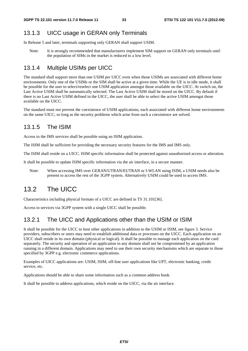#### 13.1.3 UICC usage in GERAN only Terminals

In Release 5 and later, terminals supporting only GERAN shall support USIM.

Note: It is strongly recommended that manufacturers implement SIM support on GERAN only terminals until the population of SIMs in the market is reduced to a low level.

#### 13.1.4 Multiple USIMs per UICC

The standard shall support more than one USIM per UICC even when those USIMs are associated with different home environments. Only one of the USIMs or the SIM shall be active at a given time. While the UE is in idle mode, it shall be possible for the user to select/reselect one USIM application amongst those available on the UICC. At switch on, the Last Active USIM shall be automatically selected. The Last Active USIM shall be stored on the UICC. By default if there is no Last Active USIM defined in the UICC, the user shall be able to select the active USIM amongst those available on the UICC.

The standard must not prevent the coexistence of USIM applications, each associated with different home environments on the same UICC, so long as the security problems which arise from such a coexistence are solved.

#### 13.1.5 The ISIM

Access to the IMS services shall be possible using an ISIM application.

The ISIM shall be sufficient for providing the necessary security features for the IMS and IMS only.

The ISIM shall reside on a UICC. ISIM specific information shall be protected against unauthorised access or alteration.

It shall be possible to update ISIM specific information via the air interface, in a secure manner.

Note: When accessing IMS over GERAN/UTRAN/EUTRAN or I-WLAN using ISIM, a USIM needs also be present to access the rest of the 3GPP system. Alternatively USIM could be used to access IMS.

## 13.2 The UICC

Characteristics including physical formats of a UICC are defined in TS 31.101[36].

Access to services via 3GPP system with a single UICC shall be possible.

#### 13.2.1 The UICC and Applications other than the USIM or ISIM

It shall be possible for the UICC to host other applications in addition to the USIM or ISIM, see figure 3. Service providers, subscribers or users may need to establish additional data or processes on the UICC. Each application on an UICC shall reside in its own domain (physical or logical). It shall be possible to manage each application on the card separately. The security and operation of an application in any domain shall not be compromised by an application running in a different domain. Applications may need to use their own security mechanisms which are separate to those specified by 3GPP e.g. electronic commerce applications.

Examples of UICC applications are: USIM, ISIM, off-line user applications like UPT, electronic banking, credit service, etc.

Applications should be able to share some information such as a common address book.

It shall be possible to address applications, which reside on the UICC, via the air interface.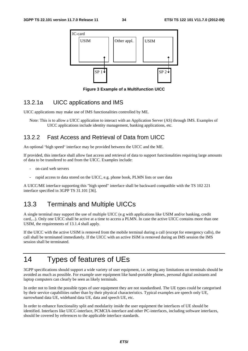

**Figure 3 Example of a Multifunction UICC** 

#### 13.2.1a UICC applications and IMS

UICC applications may make use of IMS functionalities controlled by ME.

Note: This is to allow a UICC application to interact with an Application Server (AS) through IMS. Examples of UICC applications include identity management, banking applications, etc.

#### 13.2.2 Fast Access and Retrieval of Data from UICC

An optional "high speed" interface may be provided between the UICC and the ME.

If provided, this interface shall allow fast access and retrieval of data to support functionalities requiring large amounts of data to be transfered to and from the UICC. Examples include:

- on-card web servers
- rapid access to data stored on the UICC, e.g. phone book, PLMN lists or user data

A UICC/ME interface supporting this "high speed" interface shall be backward compatible with the TS 102 221 interface specified in 3GPP TS 31.101 [36].

## 13.3 Terminals and Multiple UICCs

A single terminal may support the use of multiple UICC (e.g with applications like USIM and/or banking, credit card,...). Only one UICC shall be active at a time to access a PLMN. In case the active UICC contains more than one USIM, the requirements of 13.1.4 shall apply.

If the UICC with the active USIM is removed from the mobile terminal during a call (except for emergency calls), the call shall be terminated immediately. If the UICC with an active ISIM is removed during an IMS session the IMS session shall be terminated.

# 14 Types of features of UEs

3GPP specifications should support a wide variety of user equipment, i.e. setting any limitations on terminals should be avoided as much as possible. For example user equipment like hand-portable phones, personal digital assistants and laptop computers can clearly be seen as likely terminals.

In order not to limit the possible types of user equipment they are not standardised. The UE types could be categorised by their service capabilities rather than by their physical characteristics. Typical examples are speech only UE, narrowband data UE, wideband data UE, data and speech UE, etc.

In order to enhance functionality split and modularity inside the user equipment the interfaces of UE should be identified. Interfaces like UICC-interface, PCMCIA-interface and other PC-interfaces, including software interfaces, should be covered by references to the applicable interface standards.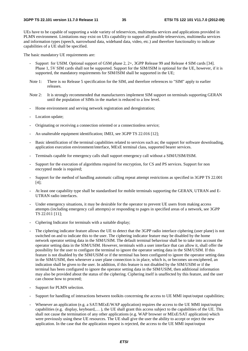UEs have to be capable of supporting a wide variety of teleservices, multimedia services and applications provided in PLMN environment. Limitations may exist on UEs capability to support all possible teleservices, multimedia services and information types (speech, narrowband data, wideband data, video, etc.) and therefore functionality to indicate capabilities of a UE shall be specified.

The basic mandatory UE requirements are:

- Support for USIM. Optional support of GSM phase 2, 2+, 3GPP Release 99 and Release 4 SIM cards [34]. Phase 1, 5V SIM cards shall not be supported. Support for the SIM/ISIM is optional for the UE, however, if it is supported, the mandatory requirements for SIM/ISIM shall be supported in the UE;
- Note 1: There is no Release 5 specification for the SIM, and therefore references to "SIM" apply to earlier releases.
- Note 2: It is strongly recommended that manufacturers implement SIM support on terminals supporting GERAN until the population of SIMs in the market is reduced to a low level.
- Home environment and serving network registration and deregistration;
- Location update;
- Originating or receiving a connection oriented or a connectionless service;
- An unalterable equipment identification; IMEI, see 3GPP TS 22.016 [12];
- Basic identification of the terminal capabilities related to services such as; the support for software downloading, application execution environment/interface, MExE terminal class, supported bearer services.
- Terminals capable for emergency calls shall support emergency call without a SIM/USIM/ISIM.
- Support for the execution of algorithms required for encryption, for CS and PS services. Support for non encrypted mode is required;
- Support for the method of handling automatic calling repeat attempt restrictions as specified in 3GPP TS 22.001 [4];
- At least one capability type shall be standardised for mobile terminals supporting the GERAN, UTRAN and E-UTRAN radio interfaces.
- Under emergency situations, it may be desirable for the operator to prevent UE users from making access attempts (including emergency call attempts) or responding to pages in specified areas of a network, see 3GPP TS 22.011 [11];
- Ciphering Indicator for terminals with a suitable display;
- The ciphering indicator feature allows the UE to detect that the 3GPP radio interface ciphering (user plane) is not switched on and to indicate this to the user. The ciphering indicator feature may be disabled by the home network operator setting data in the SIM/USIM. The default terminal behaviour shall be to take into account the operator setting data in the SIM/USIM. However, terminals with a user interface that can allow it, shall offer the possibility for the user to configure the terminal to ignore the operator setting data in the SIM/USIM. If this feature is not disabled by the SIM/USIM or if the terminal has been configured to ignore the operator setting data in the SIM/USIM, then whenever a user plane connection is in place, which is, or becomes un-enciphered, an indication shall be given to the user. In addition, if this feature is not disabled by the SIM/USIM or if the terminal has been configured to ignore the operator setting data in the SIM/USIM, then additional information may also be provided about the status of the ciphering. Ciphering itself is unaffected by this feature, and the user can choose how to proceed;
- Support for PLMN selection.
- Support for handling of interactions between toolkits concerning the access to UE MMI input/output capabilities;
- Whenever an application (e.g. a SAT/MExE/WAP application) requires the access to the UE MMI input/output capabilities (e.g. display, keyboard,… ), the UE shall grant this access subject to the capabilities of the UE. This shall not cause the termination of any other applications (e.g. WAP browser or MExE/SAT application) which were previously using these UE resources. The UE shall give the user the ability to accept or reject the new application. In the case that the application request is rejected, the access to the UE MMI input/output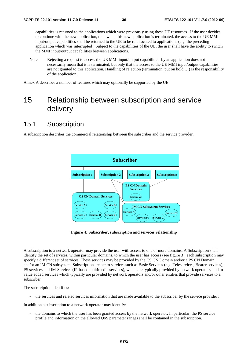capabilities is returned to the applications which were previously using these UE resources. If the user decides to continue with the new application, then when this new application is terminated, the access to the UE MMI input/output capabilities shall be returned to the UE to be re-allocated to applications (e.g. the preceding application which was interrupted). Subject to the capabilities of the UE, the user shall have the ability to switch the MMI input/output capabilities between applications.

Note: Rejecting a request to access the UE MMI input/output capabilities by an application does not necessarily mean that it is terminated, but only that the access to the UE MMI input/output capabilities are not granted to this application. Handling of rejection (termination, put on hold,…) is the responsibility of the application.

Annex A describes a number of features which may optionally be supported by the UE.

# 15 Relationship between subscription and service delivery

## 15.1 Subscription

A subscription describes the commercial relationship between the subscriber and the service provider.



**Figure 4: Subscriber, subscription and services relationship** 

A subscription to a network operator may provide the user with access to one or more domains. A Subscription shall identify the set of services, within particular domains, to which the user has access (see figure 3); each subscription may specify a different set of services. These services may be provided by the CS CN Domain and/or a PS CN Domain and/or an IM CN subsystem. Subscriptions relate to services such as Basic Services (e.g. Teleservices, Bearer services), PS services and IM-Services (IP-based multimedia services), which are typically provided by network operators, and to value added services which typically are provided by network operators and/or other entities that provide services to a subscriber

The subscription identifies:

- the services and related services information that are made available to the subscriber by the service provider ;

In addition a subscription to a network operator may identify:

- the domains to which the user has been granted access by the network operator. In particular, the PS service profile and information on the allowed QoS parameter ranges shall be contained in the subscription.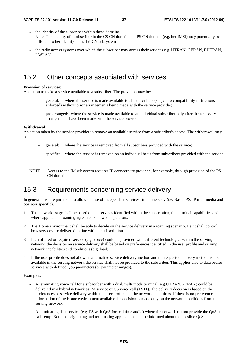- the identity of the subscriber within these domains. Note: The identity of a subscriber in the CS CN domain and PS CN domain (e.g. her IMSI) may potentially be different to her identity in the IM CN subsystem
- the radio access systems over which the subscriber may access their services e.g. UTRAN, GERAN, EUTRAN, I-WLAN.

## 15.2 Other concepts associated with services

#### **Provision of services:**

An action to make a service available to a subscriber. The provision may be:

- general: where the service is made available to all subscribers (subject to compatibility restrictions enforced) without prior arrangements being made with the service provider;
- pre-arranged: where the service is made available to an individual subscriber only after the necessary arrangements have been made with the service provider.

#### **Withdrawal:**

An action taken by the service provider to remove an available service from a subscriber's access. The withdrawal may be:

- general: where the service is removed from all subscribers provided with the service;
- specific: where the service is removed on an individual basis from subscribers provided with the service.
- NOTE: Access to the IM subsystem requires IP connectivity provided, for example, through provision of the PS CN domain.

## 15.3 Requirements concerning service delivery

In general it is a requirement to allow the use of independent services simultaneously (i.e. Basic, PS, IP multimedia and operator specific).

- 1. The network usage shall be based on the services identified within the subscription, the terminal capabilities and, where applicable, roaming agreements between operators.
- 2. The Home environment shall be able to decide on the service delivery in a roaming scenario. I.e. it shall control how services are delivered in line with the subscription.
- 3. If an offered or required service (e.g. voice) could be provided with different technologies within the serving network, the decision on service delivery shall be based on preferences identified in the user profile and serving network capabilities and conditions (e.g. load).
- 4. If the user profile does not allow an alternative service delivery method and the requested delivery method is not available in the serving network the service shall not be provided to the subscriber. This applies also to data bearer services with defined QoS parameters (or parameter ranges).

#### Examples:

- A terminating voice call for a subscriber with a dual/multi mode terminal (e.g.UTRAN/GERAN) could be delivered in a hybrid network as IM service or CS voice call (TS11). The delivery decision is based on the preferences of service delivery within the user profile and the network conditions. If there is no preference information of the Home environment available the decision is made only on the network conditions from the serving network.
- A terminating data service (e.g. PS with QoS for real time audio) where the network cannot provide the QoS at call setup. Both the originating and terminating application shall be informed about the possible QoS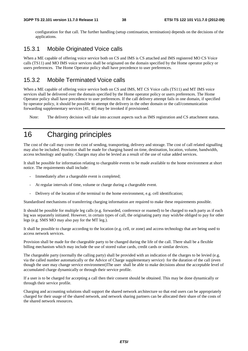configuration for that call. The further handling (setup continuation, termination) depends on the decisions of the applications.

#### 15.3.1 Mobile Originated Voice calls

When a ME capable of offering voice service both on CS and IMS is CS attached and IMS registered MO CS Voice calls (TS11) and MO IMS voice services shall be originated on the domain specified by the Home operator policy or users preferences. The Home Operator policy shall have precedence to user preferences.

#### 15.3.2 Mobile Terminated Voice calls

When a ME capable of offering voice service both on CS and IMS, MT CS Voice calls (TS11) and MT IMS voice services shall be delivered over the domain specified by the Home operator policy or users preferences. The Home Operator policy shall have precedence to user preferences. If the call delivery attempt fails in one domain, if specified by operator policy, it should be possible to attempt the delivery in the other domain or the call/communication forwarding supplementary services [41, 40] may be invoked if provisioned.

Note: The delivery decision will take into account aspects such as IMS registration and CS attachment status.

# 16 Charging principles

The cost of the call may cover the cost of sending, transporting, delivery and storage. The cost of call related signalling may also be included. Provision shall be made for charging based on time, destination, location, volume, bandwidth, access technology and quality. Charges may also be levied as a result of the use of value added services.

It shall be possible for information relating to chargeable events to be made available to the home environment at short notice. The requirements shall include:

- Immediately after a chargeable event is completed;
- At regular intervals of time, volume or charge during a chargeable event.
- Delivery of the location of the terminal to the home environment, e.g. cell identification;

Standardised mechanisms of transferring charging information are required to make these requirements possible.

It should be possible for multiple leg calls (e.g. forwarded, conference or roamed) to be charged to each party as if each leg was separately initiated. However, in certain types of call, the originating party may wish/be obliged to pay for other legs (e.g. SMS MO may also pay for the MT leg.).

It shall be possible to charge according to the location (e.g. cell, or zone) and access technology that are being used to access network services.

Provision shall be made for the chargeable party to be changed during the life of the call. There shall be a flexible billing mechanism which may include the use of stored value cards, credit cards or similar devices.

The chargeable party (normally the calling party) shall be provided with an indication of the charges to be levied (e.g. via the called number automatically or the Advice of Charge supplementary service) for the duration of the call (even though the user may change service environment)The user shall be able to make decisions about the acceptable level of accumulated charge dynamically or through their service profile.

If a user is to be charged for accepting a call then their consent should be obtained. This may be done dynamically or through their service profile.

Charging and accounting solutions shall support the shared network architecture so that end users can be appropriately charged for their usage of the shared network, and network sharing partners can be allocated their share of the costs of the shared network resources.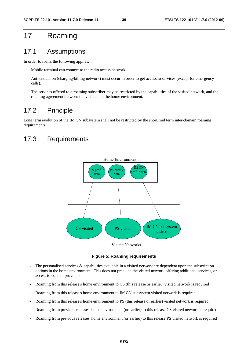# 17 Roaming

## 17.1 Assumptions

In order to roam, the following applies:

- Mobile terminal can connect to the radio access network.
- Authentication (charging/billing network) must occur in order to get access to services (except for emergency calls).
- The services offered to a roaming subscriber may be restricted by the capabilities of the visited network, and the roaming agreement between the visited and the home environment.

## 17.2 Principle

Long term evolution of the IM CN subsystem shall not be restricted by the short/mid term inter-domain roaming requirements.

## 17.3 Requirements



**Figure 5: Roaming requirements** 

- The personalised services & capabilities available in a visited network are dependent upon the subscription options in the home environment. This does not preclude the visited network offering additional services, or access to content providers.
- Roaming from this release's home environment to CS (this release or earlier) visited network is required
- Roaming from this release's home environment to IM CN subsystem visited network is required
- Roaming from this release's home environment to PS (this release or earlier) visited network is required
- Roaming from previous releases' home environment (or earlier) to this release CS visited network is required
- Roaming from previous releases' home environment (or earlier) to this release PS visited network is required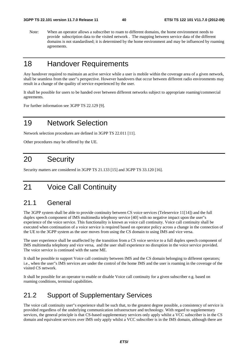Note: When an operator allows a subscriber to roam to different domains, the home environment needs to provide subscription data to the visited network . The mapping between service data of the different domains is not standardised; it is determined by the home environment and may be influenced by roaming agreements.

# 18 Handover Requirements

Any handover required to maintain an active service while a user is mobile within the coverage area of a given network, shall be seamless from the user"s perspective. However handovers that occur between different radio environments may result in a change of the quality of service experienced by the user.

It shall be possible for users to be handed over between different networks subject to appropriate roaming/commercial agreements.

For further information see 3GPP TS 22.129 [9].

# 19 Network Selection

Network selection procedures are defined in 3GPP TS 22.011 [11].

Other procedures may be offered by the UE.

# 20 Security

Security matters are considered in 3GPP TS 21.133 [15] and 3GPP TS 33.120 [16].

# 21 Voice Call Continuity

## 21.1 General

The 3GPP system shall be able to provide continuity between CS voice services (Teleservice 11[14]) and the full duplex speech component of IMS multimedia telephony service [40] with no negative impact upon the user"s experience of the voice service. This functionality is known as voice call continuity. Voice call continuity shall be executed when continuation of a voice service is required based on operator policy across a change in the connection of the UE to the 3GPP system as the user moves from using the CS domain to using IMS and vice versa.

The user experience shall be unaffected by the transition from a CS voice service to a full duplex speech component of IMS multimedia telephony and vice versa, and the user shall experience no disruption in the voice service provided. The voice service is continued with the same ME.

It shall be possible to support Voice call continuity between IMS and the CS domain belonging to different operators; i.e., when the user"s IMS services are under the control of the home IMS and the user is roaming in the coverage of the visited CS network.

It shall be possible for an operator to enable or disable Voice call continuity for a given subscriber e.g. based on roaming conditions, terminal capabilities.

## 21.2 Support of Supplementary Services

The voice call continuity user"s experience shall be such that, to the greatest degree possible, a consistency of service is provided regardless of the underlying communication infrastructure and technology. With regard to supplementary services, the general principle is that CS-based supplementary services only apply whilst a VCC subscriber is in the CS domain and equivalent services over IMS only apply whilst a VCC subscriber is in the IMS domain, although there are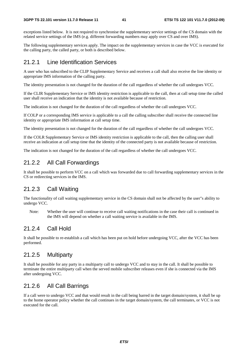exceptions listed below. It is not required to synchronise the supplementary service settings of the CS domain with the related service settings of the IMS (e.g. different forwarding numbers may apply over CS and over IMS).

The following supplementary services apply. The impact on the supplementary services in case the VCC is executed for the calling party, the called party, or both is described below.

#### 21.2.1 Line Identification Services

A user who has subscribed to the CLIP Supplementary Service and receives a call shall also receive the line identity or appropriate IMS information of the calling party.

The identity presentation is not changed for the duration of the call regardless of whether the call undergoes VCC.

If the CLIR Supplementary Service or IMS identity restriction is applicable to the call, then at call setup time the called user shall receive an indication that the identity is not available because of restriction.

The indication is not changed for the duration of the call regardless of whether the call undergoes VCC.

If COLP or a corresponding IMS service is applicable to a call the calling subscriber shall receive the connected line identity or appropriate IMS information at call setup time.

The identity presentation is not changed for the duration of the call regardless of whether the call undergoes VCC.

If the COLR Supplementary Service or IMS identity restriction is applicable to the call, then the calling user shall receive an indication at call setup time that the identity of the connected party is not available because of restriction.

The indication is not changed for the duration of the call regardless of whether the call undergoes VCC.

#### 21.2.2 All Call Forwardings

It shall be possible to perform VCC on a call which was forwarded due to call forwarding supplementary services in the CS or redirecting services in the IMS.

#### 21.2.3 Call Waiting

The functionality of call waiting supplementary service in the CS domain shall not be affected by the user"s ability to undergo VCC.

Note: Whether the user will continue to receive call waiting notifications in the case their call is continued in the IMS will depend on whether a call waiting service is available in the IMS.

#### 21.2.4 Call Hold

It shall be possible to re-establish a call which has been put on hold before undergoing VCC, after the VCC has been performed.

#### 21.2.5 Multiparty

It shall be possible for any party in a multiparty call to undergo VCC and to stay in the call. It shall be possible to terminate the entire multiparty call when the served mobile subscriber releases even if she is connected via the IMS after undergoing VCC.

#### 21.2.6 All Call Barrings

If a call were to undergo VCC and that would result in the call being barred in the target domain/system, it shall be up to the home operator policy whether the call continues in the target domain/system, the call terminates, or VCC is not executed for the call.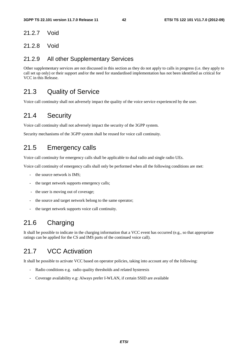#### 21.2.7 Void

#### 21.2.8 Void

#### 21.2.9 All other Supplementary Services

Other supplementary services are not discussed in this section as they do not apply to calls in progress (i.e. they apply to call set up only) or their support and/or the need for standardised implementation has not been identified as critical for VCC in this Release.

## 21.3 Quality of Service

Voice call continuity shall not adversely impact the quality of the voice service experienced by the user.

# 21.4 Security

Voice call continuity shall not adversely impact the security of the 3GPP system.

Security mechanisms of the 3GPP system shall be reused for voice call continuity.

## 21.5 Emergency calls

Voice call continuity for emergency calls shall be applicable to dual radio and single radio UEs.

Voice call continuity of emergency calls shall only be performed when all the following conditions are met:

- the source network is IMS:
- the target network supports emergency calls;
- the user is moving out of coverage;
- the source and target network belong to the same operator;
- the target network supports voice call continuity.

# 21.6 Charging

It shall be possible to indicate in the charging information that a VCC event has occurred (e.g., so that appropriate ratings can be applied for the CS and IMS parts of the continued voice call).

# 21.7 VCC Activation

It shall be possible to activate VCC based on operator policies, taking into account any of the following:

- Radio conditions e.g. radio quality thresholds and related hysteresis
- Coverage availability e.g: Always prefer I-WLAN, if certain SSID are available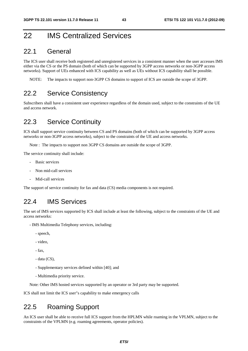# 22 IMS Centralized Services

#### 22.1 General

The ICS user shall receive both registered and unregistered services in a consistent manner when the user accesses IMS either via the CS or the PS domain (both of which can be supported by 3GPP access networks or non-3GPP access networks). Support of UEs enhanced with ICS capability as well as UEs without ICS capability shall be possible.

NOTE: The impacts to support non-3GPP CS domains to support of ICS are outside the scope of 3GPP.

#### 22.2 Service Consistency

Subscribers shall have a consistent user experience regardless of the domain used, subject to the constraints of the UE and access network.

## 22.3 Service Continuity

ICS shall support service continuity between CS and PS domains (both of which can be supported by 3GPP access networks or non-3GPP access networks), subject to the constraints of the UE and access networks.

Note : The impacts to support non 3GPP CS domains are outside the scope of 3GPP.

The service continuity shall include:

- Basic services
- Non mid-call services
- Mid-call services

The support of service continuity for fax and data (CS) media components is not required.

#### 22.4 IMS Services

The set of IMS services supported by ICS shall include at least the following, subject to the constraints of the UE and access networks:

- IMS Multimedia Telephony services, including:
	- speech,
	- video,
	- fax,
	- data (CS),
	- Supplementary services defined within [40]; and
	- Multimedia priority service.

Note: Other IMS hosted services supported by an operator or 3rd party may be supported.

ICS shall not limit the ICS user"s capability to make emergency calls

## 22.5 Roaming Support

An ICS user shall be able to receive full ICS support from the HPLMN while roaming in the VPLMN, subject to the constraints of the VPLMN (e.g. roaming agreements, operator policies).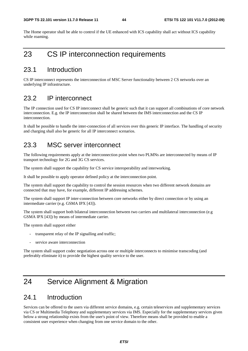The Home operator shall be able to control if the UE enhanced with ICS capability shall act without ICS capability while roaming.

# 23 CS IP interconnection requirements

#### 23.1 Introduction

CS IP interconnect represents the interconnection of MSC Server functionality between 2 CS networks over an underlying IP infrastructure.

### 23.2 IP interconnect

The IP connection used for CS IP interconnect shall be generic such that it can support all combinations of core network interconnection. E.g. the IP interconnection shall be shared between the IMS interconnection and the CS IP interconnection.

It shall be possible to handle the inter-connection of all services over this generic IP interface. The handling of security and charging shall also be generic for all IP interconnect scenarios.

## 23.3 MSC server interconnect

The following requirements apply at the interconnection point when two PLMNs are interconnected by means of IP transport technology for 2G and 3G CS services.

The system shall support the capability for CS service interoperability and interworking.

It shall be possible to apply operator defined policy at the interconnection point.

The system shall support the capability to control the session resources when two different network domains are connected that may have, for example, different IP addressing schemes.

The system shall support IP inter-connection between core networks either by direct connection or by using an intermediate carrier (e.g. GSMA IPX [43]).

The system shall support both bilateral interconnection between two carriers and multilateral interconnection (e.g GSMA IPX [43]) by means of intermediate carrier.

The system shall support either

- transparent relay of the IP signalling and traffic;
- service aware interconnection

The system shall support codec negotiation across one or multiple interconnects to minimise transcoding (and preferably eliminate it) to provide the highest quality service to the user.

# 24 Service Alignment & Migration

#### 24.1 Introduction

Services can be offered to the users via different service domains, e.g. certain teleservices and supplementary services via CS or Multimedia Telephony and supplementary services via IMS. Especially for the supplementary services given below a strong relationship exists from the user's point of view. Therefore means shall be provided to enable a consistent user experience when changing from one service domain to the other.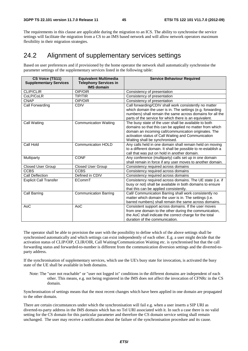The requirements in this clause are applicable during the migration to an ICS. The ability to synchronise the service settings will facilitate the migration from a CS to an IMS based network and will allow network operators maximum flexibility in their migration strategies.

## 24.2 Alignment of supplementary services settings

Based on user preferences and if provisioned by the home operator the network shall automatically synchronise the parameter settings of the supplementary services listed in the following table:

| CS Voice (TS11)<br><b>Supplementary Services</b> | <b>Equivalent Multimedia</b><br><b>Telephony Services in</b><br><b>IMS domain</b> | <b>Service Behaviour Required</b>                                                                                                                                                                                                                                   |
|--------------------------------------------------|-----------------------------------------------------------------------------------|---------------------------------------------------------------------------------------------------------------------------------------------------------------------------------------------------------------------------------------------------------------------|
| <b>CLIP/CLIR</b>                                 | OIP/OIR                                                                           | Consistency of presentation                                                                                                                                                                                                                                         |
| CoLP/CoLR                                        | <b>TIP/TIR</b>                                                                    | Consistency of presentation                                                                                                                                                                                                                                         |
| <b>CNAP</b>                                      | OIP/OIR                                                                           | Consistency of presentation                                                                                                                                                                                                                                         |
| Call Forwarding                                  | <b>CDIV</b>                                                                       | Call forwarding/CDIV shall work consistently no matter<br>which domain the user is in. The settings (e.g. forwarding<br>numbers) shall remain the same across domains for all the<br>parts of the service for which there is an equivalent.                         |
| Call Waiting                                     | <b>Communication Waiting</b>                                                      | The busy state of the user shall be available to both<br>domains so that this can be applied no matter from which<br>domain an incoming call/communication originates. The<br>activation status of Call Waiting and Communication<br>Waiting shall be synchronised. |
| Call Hold                                        | <b>Communication HOLD</b>                                                         | Any calls held in one domain shall remain held on moving<br>to a different domain. It shall be possible to re-establish a<br>call that was put on hold in another domain.                                                                                           |
| Multiparty                                       | <b>CONF</b>                                                                       | Any conference (multiparty) calls set up in one domain<br>shall remain in force if any user moves to another domain.                                                                                                                                                |
| <b>Closed User Group</b>                         | <b>Closed User Group</b>                                                          | Consistency required across domains                                                                                                                                                                                                                                 |
| <b>CCBS</b>                                      | <b>CCBS</b>                                                                       | Consistency required across domains                                                                                                                                                                                                                                 |
| Call Deflection                                  | Defined in CDIV                                                                   | Consistency required across domains                                                                                                                                                                                                                                 |
| <b>Explicit Call Transfer</b>                    | ECommT                                                                            | Consistency required across domains. The UE state (i.e. if<br>busy or not) shall be available in both domains to ensure<br>that this can be applied consistently.                                                                                                   |
| Call Barring                                     | <b>Communication Barring</b>                                                      | Call/ Communication Barring shall work consistently no<br>matter which domain the user is in. The settings (i.e.<br>barred numbers) shall remain the same across domains.                                                                                           |
| AoC                                              | AoC                                                                               | Consistent support across domains. If the user moves<br>from one domain to the other during the communication,<br>the AoC shall indicate the correct charge for the total<br>duration of the communication.                                                         |

The operator shall be able to provision the user with the possibility to define which of the above settings shall be synchronised automatically and which settings can exist independently of each other. E.g. a user might decide that the activation status of CLIP/OIP, CLIR/OIR, Call Waiting/Communication Waiting etc. is synchronised but that the call forwarding status and forwarded-to-number is different from the communication diversion settings and the diverted-toparty address.

If the synchronisation of supplementary services, which use the UE's busy state for invocation, is activated the busy state of the UE shall be available in both domains.

Note: The "user not reachable" or "user not logged in" conditions in the different domains are independent of each other. This means, e.g. not being registered in the IMS does not affect the invocation of CFNRc in the CS domain.

Synchronisation of settings means that the most recent changes which have been applied in one domain are propagated to the other domain.

There are certain circumstances under which the synchronisation will fail e.g. when a user inserts a SIP URI as diverted-to-party address in the IMS domain which has no Tel URI associated with it. In such a case there is no valid setting for the CS domain for this particular parameter and therefore the CS domain service setting shall remain unchanged. The user may receive a notification about the failure of the synchronisation procedure and its cause.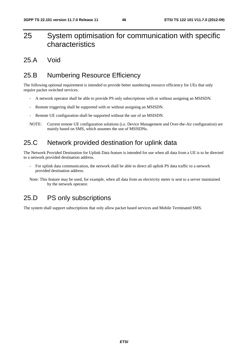# 25 System optimisation for communication with specific characteristics

#### 25.A Void

# 25.B Numbering Resource Efficiency

The following optional requirement is intended to provide better numbering resource efficiency for UEs that only require packet switched services.

- A network operator shall be able to provide PS only subscriptions with or without assigning an MSISDN.
- Remote triggering shall be supported with or without assigning an MSISDN.
- Remote UE configuration shall be supported without the use of an MSISDN.
- NOTE: Current remote UE configuration solutions (i.e. Device Management and Over-the-Air configuration) are mainly based on SMS, which assumes the use of MSISDNs.

## 25.C Network provided destination for uplink data

The Network Provided Destination for Uplink Data feature is intended for use when all data from a UE is to be directed to a network provided destination address.

- For uplink data communication, the network shall be able to direct all uplink PS data traffic to a network provided destination address.
- Note: This feature may be used, for example, when all data from an electricity meter is sent to a server maintained by the network operator.

## 25.D PS only subscriptions

The system shall support subscriptions that only allow packet based services and Mobile Terminated SMS.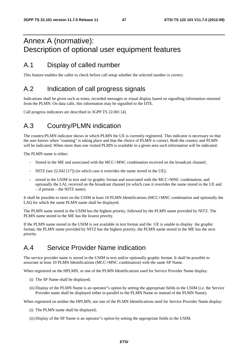# Annex A (normative): Description of optional user equipment features

## A.1 Display of called number

This feature enables the caller to check before call setup whether the selected number is correct.

# A.2 Indication of call progress signals

Indications shall be given such as tones, recorded messages or visual display based on signalling information returned from the PLMN. On data calls, this information may be signalled to the DTE.

Call progress indicators are described in 3GPP TS 22.001 [4].

# A.3 Country/PLMN indication

The country/PLMN indicator shows in which PLMN the UE is currently registered. This indicator is necessary so that the user knows when "roaming" is taking place and that the choice of PLMN is correct. Both the country and PLMN will be indicated. When more than one visited PLMN is available in a given area such information will be indicated.

The PLMN name is either:

- Stored in the ME and associated with the MCC+MNC combination received on the broadcast channel;
- NITZ (see 22.042 [17]) (in which case it overrides the name stored in the UE);
- stored in the USIM in text and /or graphic format and associated with the MCC+MNC combination, and optionally the LAI, received on the broadcast channel (in which case it overrides the name stored in the UE and – if present – the NITZ name).

It shall be possible to store on the USIM at least 10 PLMN Identifications (MCC+MNC combination and optionally the LAI) for which the same PLMN name shall be displayed.

The PLMN name stored in the USIM has the highest priority, followed by the PLMN name provided by NITZ. The PLMN name stored in the ME has the lowest priority.

If the PLMN name stored in the USIM is not available in text format and the UE is unable to display the graphic format, the PLMN name provided by NITZ has the highest priority, the PLMN name stored in the ME has the next priority.

## A.4 Service Provider Name indication

The service provider name is stored in the USIM in text and/or optionally graphic format. It shall be possible to associate at least 10 PLMN Identifications (MCC+MNC combination) with the same SP Name.

When registered on the HPLMN, or one of the PLMN Identifications used for Service Provider Name display:

- (i) The SP Name shall be displayed;
- (ii) Display of the PLMN Name is an operator"s option by setting the appropriate fields in the USIM (i.e. the Service Provider name shall be displayed either in parallel to the PLMN Name or instead of the PLMN Name).

When registered on neither the HPLMN, nor one of the PLMN Identifications used for Service Provider Name display:

- (i) The PLMN name shall be displayed;
- (ii) Display of the SP Name is an operator"s option by setting the appropriate fields in the USIM.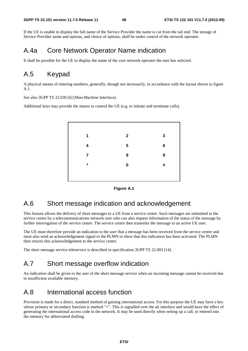If the UE is unable to display the full name of the Service Provider the name is cut from the tail end. The storage of Service Provider name and options, and choice of options, shall be under control of the network operator.

## A.4a Core Network Operator Name indication

It shall be possible for the UE to display the name of the core network operator the user has selected.

## A.5 Keypad

A physical means of entering numbers, generally, though not necessarily, in accordance with the layout shown in figure A.1.

See also 3GPP TS 22.030 [6] (Man-Machine Interface).

Additional keys may provide the means to control the UE (e.g. to initiate and terminate calls).





## A.6 Short message indication and acknowledgement

This feature allows the delivery of short messages to a UE from a service centre. Such messages are submitted to the service centre by a telecommunications network user who can also request information of the status of the message by further interrogation of the service centre. The service centre then transmits the message to an active UE user.

The UE must therefore provide an indication to the user that a message has been received from the service centre and must also send an acknowledgement signal to the PLMN to show that this indication has been activated. The PLMN then returns this acknowledgement to the service centre.

The short message service teleservice is described in specification 3GPP TS 22.003 [14].

## A.7 Short message overflow indication

An indication shall be given to the user of the short message service when an incoming message cannot be received due to insufficient available memory.

### A.8 International access function

Provision is made for a direct, standard method of gaining international access. For this purpose the UE may have a key whose primary or secondary function is marked "+". This is signalled over the air interface and would have the effect of generating the international access code in the network. It may be used directly when setting up a call, or entered into the memory for abbreviated dialling.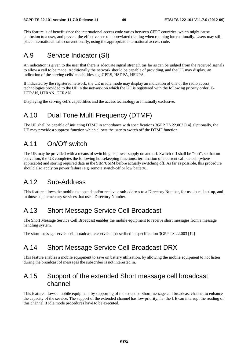This feature is of benefit since the international access code varies between CEPT countries, which might cause confusion to a user, and prevent the effective use of abbreviated dialling when roaming internationally. Users may still place international calls conventionally, using the appropriate international access code.

## A.9 Service Indicator (SI)

An indication is given to the user that there is adequate signal strength (as far as can be judged from the received signal) to allow a call to be made. Additionally the network should be capable of providing, and the UE may display, an indication of the serving cells' capabilities e.g. GPRS, HSDPA, HSUPA.

If indicated by the registered network, the UE in idle mode may display an indication of one of the radio access technologies provided to the UE in the network on which the UE is registered with the following priority order: E-UTRAN, UTRAN, GERAN.

Displaying the serving cell's capabilities and the access technology are mutually exclusive.

## A.10 Dual Tone Multi Frequency (DTMF)

The UE shall be capable of initiating DTMF in accordance with specifications 3GPP TS 22.003 [14]. Optionally, the UE may provide a suppress function which allows the user to switch off the DTMF function.

## A.11 On/Off switch

The UE may be provided with a means of switching its power supply on and off. Switch-off shall be "soft", so that on activation, the UE completes the following housekeeping functions: termination of a current call, detach (where applicable) and storing required data in the SIM/USIM before actually switching off. As far as possible, this procedure should also apply on power failure (e.g. remote switch-off or low battery).

## A.12 Sub-Address

This feature allows the mobile to append and/or receive a sub-address to a Directory Number, for use in call set-up, and in those supplementary services that use a Directory Number.

## A.13 Short Message Service Cell Broadcast

The Short Message Service Cell Broadcast enables the mobile equipment to receive short messages from a message handling system.

The short message service cell broadcast teleservice is described in specification 3GPP TS 22.003 [14]

## A.14 Short Message Service Cell Broadcast DRX

This feature enables a mobile equipment to save on battery utilization, by allowing the mobile equipment to not listen during the broadcast of messages the subscriber is not interested in.

## A.15 Support of the extended Short message cell broadcast channel

This feature allows a mobile equipment by supporting of the extended Short message cell broadcast channel to enhance the capacity of the service. The support of the extended channel has low priority, i.e. the UE can interrupt the reading of this channel if idle mode procedures have to be executed.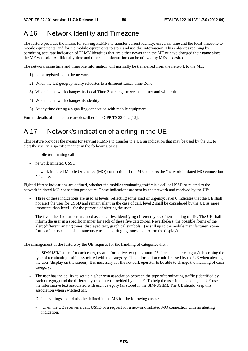## A.16 Network Identity and Timezone

The feature provides the means for serving PLMNs to transfer current identity, universal time and the local timezone to mobile equipments, and for the mobile equipments to store and use this information. This enhances roaming by permitting accurate indication of PLMN identities that are either newer than the ME or have changed their name since the ME was sold. Additionally time and timezone information can be utilized by MEs as desired.

The network name time and timezone information will normally be transferred from the network to the ME:

- 1) Upon registering on the network.
- 2) When the UE geographically relocates to a different Local Time Zone.
- 3) When the network changes its Local Time Zone, e.g. between summer and winter time.
- 4) When the network changes its identity.
- 5) At any time during a signalling connection with mobile equipment.

Further details of this feature are described in 3GPP TS 22.042 [15].

# A.17 Network's indication of alerting in the UE

This feature provides the means for serving PLMNs to transfer to a UE an indication that may be used by the UE to alert the user in a specific manner in the following cases:

- mobile terminating call
- network initiated USSD
- network initiated Mobile Originated (MO) connection, if the ME supports the "network initiated MO connection " feature.

Eight different indications are defined, whether the mobile terminating traffic is a call or USSD or related to the network initiated MO connection procedure. These indications are sent by the network and received by the UE:

- Three of these indications are used as levels, reflecting some kind of urgency: level 0 indicates that the UE shall not alert the user for USSD and remain silent in the case of call, level 2 shall be considered by the UE as more important than level 1 for the purpose of alerting the user.
- The five other indications are used as categories, identifying different types of terminating traffic. The UE shall inform the user in a specific manner for each of these five categories. Nevertheless, the possible forms of the alert (different ringing tones, displayed text, graphical symbols...) is still up to the mobile manufacturer (some forms of alerts can be simultaneously used, e.g. ringing tones and text on the display).

The management of the feature by the UE requires for the handling of categories that :

- the SIM/USIM stores for each category an informative text (maximum 25 characters per category) describing the type of terminating traffic associated with the category. This information could be used by the UE when alerting the user (display on the screen). It is necessary for the network operator to be able to change the meaning of each category.
- The user has the ability to set up his/her own association between the type of terminating traffic (identified by each category) and the different types of alert provided by the UE. To help the user in this choice, the UE uses the informative text associated with each category (as stored in the SIM/USIM). The UE should keep this association when switched off.

Default settings should also be defined in the ME for the following cases :

when the UE receives a call, USSD or a request for a network initiated MO connection with no alerting indication,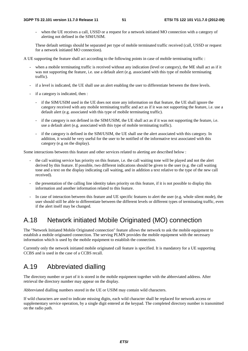when the UE receives a call, USSD or a request for a network initiated MO connection with a category of alerting not defined in the SIM/USIM.

 These default settings should be separated per type of mobile terminated traffic received (call, USSD or request for a network initiated MO connection).

A UE supporting the feature shall act according to the following points in case of mobile terminating traffic :

- when a mobile terminating traffic is received without any indication (level or category), the ME shall act as if it was not supporting the feature, i.e. use a default alert (e.g. associated with this type of mobile terminating traffic).
- if a level is indicated, the UE shall use an alert enabling the user to differentiate between the three levels.
- if a category is indicated, then :
	- if the SIM/USIM used in the UE does not store any information on that feature, the UE shall ignore the category received with any mobile terminating traffic and act as if it was not supporting the feature, i.e. use a default alert (e.g. associated with this type of mobile terminating traffic).
	- if the category is not defined in the SIM/USIM, the UE shall act as if it was not supporting the feature, i.e. use a default alert (e.g. associated with this type of mobile terminating traffic).
	- if the category is defined in the SIM/USIM, the UE shall use the alert associated with this category. In addition, it would be very useful for the user to be notified of the informative text associated with this category (e.g on the display).

Some interactions between this feature and other services related to alerting are described below :

- the call waiting service has priority on this feature, i.e. the call waiting tone will be played and not the alert derived by this feature. If possible, two different indications should be given to the user (e.g. the call waiting tone and a text on the display indicating call waiting, and in addition a text relative to the type of the new call received).
- the presentation of the calling line identity takes priority on this feature, if it is not possible to display this information and another information related to this feature.
- In case of interaction between this feature and UE specific features to alert the user (e.g. whole silent mode), the user should still be able to differentiate between the different levels or different types of terminating traffic, even if the alert itself may be changed.

# A.18 Network initiated Mobile Originated (MO) connection

The "Network Initiated Mobile Originated connection" feature allows the network to ask the mobile equipment to establish a mobile originated connection. The serving PLMN provides the mobile equipment with the necessary information which is used by the mobile equipment to establish the connection.

Currently only the network initiated mobile originated call feature is specified. It is mandatory for a UE supporting CCBS and is used in the case of a CCBS recall.

# A.19 Abbreviated dialling

The directory number or part of it is stored in the mobile equipment together with the abbreviated address. After retrieval the directory number may appear on the display.

Abbreviated dialling numbers stored in the UE or USIM may contain wild characters.

If wild characters are used to indicate missing digits, each wild character shall be replaced for network access or supplementary service operation, by a single digit entered at the keypad. The completed directory number is transmitted on the radio path.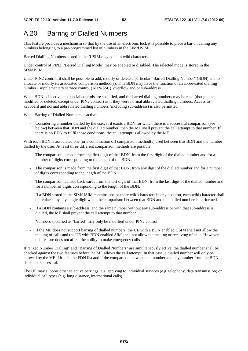# A.20 Barring of Dialled Numbers

This feature provides a mechanism so that by the use of an electronic lock it is possible to place a bar on calling any numbers belonging to a pre-programmed list of numbers in the SIM/USIM.

Barred Dialling Numbers stored in the /USIM may contain wild characters.

Under control of PIN2, "Barred Dialling Mode" may be enabled or disabled. The selected mode is stored in the SIM/USIM.

Under PIN2 control, it shall be possible to add, modify or delete a particular "Barred Dialling Number" (BDN) and to allocate or modify its associated comparison method(s). This BDN may have the function of an abbreviated dialling number / supplementary service control (ADN/SSC), overflow and/or sub-address.

When BDN is inactive, no special controls are specified, and the barred dialling numbers may be read (though not modified or deleted, except under PIN2 control) as if they were normal abbreviated dialling numbers. Access to keyboard and normal abbreviated dialling numbers (including sub-address) is also permitted.

When Barring of Dialled Numbers is active:

- Considering a number dialled by the user, if it exists a BDN for which there is a successful comparison (see below) between that BDN and the dialled number, then the ME shall prevent the call attempt to that number. If there is no BDN to fulfil those conditions, the call attempt is allowed by the ME.

With each BDN is associated one (or a combination of) comparison method(s) used between that BDN and the number dialled by the user. At least three different comparison methods are possible:

- The comparison is made from the first digit of that BDN, from the first digit of the dialled number and for a number of digits corresponding to the length of the BDN.
- The comparison is made from the first digit of that BDN, from any digit of the dialled number and for a number of digits corresponding to the length of the BDN.
- The comparison is made backwards from the last digit of that BDN, from the last digit of the dialled number and for a number of digits corresponding to the length of the BDN.
- If a BDN stored in the SIM/USIM contains one or more wild characters in any position, each wild character shall be replaced by any single digit when the comparison between that BDN and the dialled number is performed.
- If a BDN contains a sub-address, and the same number without any sub-address or with that sub-address is dialled, the ME shall prevent the call attempt to that number.
- Numbers specified as "barred" may only be modified under PIN2 control.
- If the ME does not support barring of dialled numbers, the UE with a BDN enabled USIM shall not allow the making of calls and the UE with BDN enabled SIM shall not allow the making or receiving of calls. However, this feature does not affect the ability to make emergency calls.

If "Fixed Number Dialling" and "Barring of Dialled Numbers" are simultaneously active, the dialled number shall be checked against the two features before the ME allows the call attempt. In that case, a dialled number will only be allowed by the ME if it is in the FDN list and if the comparison between that number and any number from the BDN list is not successful.

The UE may support other selective barrings, e.g. applying to individual services (e.g. telephony, data transmission) or individual call types (e.g. long distance, international calls).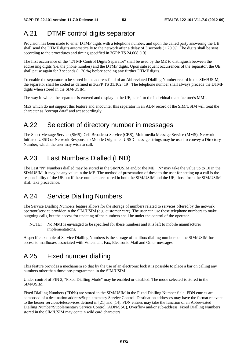## A.21 DTMF control digits separator

Provision has been made to enter DTMF digits with a telephone number, and upon the called party answering the UE shall send the DTMF digits automatically to the network after a delay of 3 seconds ( $\pm$  20 %). The digits shall be sent according to the procedures and timing specified in 3GPP TS 24.008 [13].

The first occurrence of the "DTMF Control Digits Separator" shall be used by the ME to distinguish between the addressing digits (i.e. the phone number) and the DTMF digits. Upon subsequent occurrences of the separator, the UE shall pause again for 3 seconds ( $\pm$  20 %) before sending any further DTMF digits.

To enable the separator to be stored in the address field of an Abbreviated Dialling Number record in the SIM/USIM, the separator shall be coded as defined in 3GPP TS 31.102 [19]. The telephone number shall always precede the DTMF digits when stored in the SIM/USIM.

The way in which the separator is entered and display in the UE, is left to the individual manufacturer's MMI.

MEs which do not support this feature and encounter this separator in an ADN record of the SIM/USIM will treat the character as "corrupt data" and act accordingly.

## A.22 Selection of directory number in messages

The Short Message Service (SMS), Cell Broadcast Service (CBS), Multimedia Message Service (MMS), Network Initiated USSD or Network Response to Mobile Originated USSD message strings may be used to convey a Directory Number, which the user may wish to call.

## A.23 Last Numbers Dialled (LND)

The Last "N" Numbers dialled may be stored in the SIM/USIM and/or the ME. "N" may take the value up to 10 in the SIM/USIM. It may be any value in the ME. The method of presentation of these to the user for setting up a call is the responsibility of the UE but if these numbers are stored in both the SIM/USIM and the UE, those from the SIM/USIM shall take precedence.

## A.24 Service Dialling Numbers

The Service Dialling Numbers feature allows for the storage of numbers related to services offered by the network operator/service provider in the SIM/USIM (e.g. customer care). The user can use these telephone numbers to make outgoing calls, but the access for updating of the numbers shall be under the control of the operator.

NOTE: No MMI is envisaged to be specified for these numbers and it is left to mobile manufacturer implementations.

A specific example of Service Dialling Numbers is the storage of mailbox dialling numbers on the SIM/USIM for access to mailboxes associated with Voicemail, Fax, Electronic Mail and Other messages.

## A.25 Fixed number dialling

This feature provides a mechanism so that by the use of an electronic lock it is possible to place a bar on calling any numbers other than those pre-programmed in the SIM/USIM.

Under control of PIN 2, "Fixed Dialling Mode" may be enabled or disabled. The mode selected is stored in the SIM/USIM.

Fixed Dialling Numbers (FDNs) are stored in the SIM/USIM in the Fixed Dialling Number field. FDN entries are composed of a destination address/Supplementary Service Control. Destination addresses may have the format relevant to the bearer services/teleservices defined in [21] and [14]. FDN entries may take the function of an Abbreviated Dialling Number/Supplementary Service Control (ADN/SSC), Overflow and/or sub-address. Fixed Dialling Numbers stored in the SIM/USIM may contain wild card characters.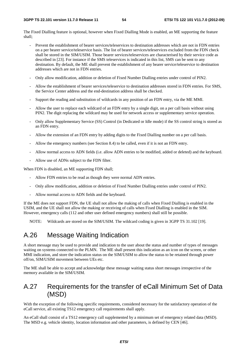The Fixed Dialling feature is optional, however when Fixed Dialling Mode is enabled, an ME supporting the feature shall;

- Prevent the establishment of bearer services/teleservices to destination addresses which are not in FDN entries on a per bearer service/teleservice basis. The list of bearer services/teleservices excluded from the FDN check shall be stored in the SIM/USIM. Those bearer services/teleservices are characterised by their service code as described in [23]. For instance if the SMS teleservices is indicated in this list, SMS can be sent to any destination. By default, the ME shall prevent the establishment of any bearer service/teleservice to destination addresses which are not in FDN entries.
- Only allow modification, addition or deletion of Fixed Number Dialling entries under control of PIN2.
- Allow the establishment of bearer services/teleservice to destination addresses stored in FDN entries. For SMS, the Service Center address and the end-destination address shall be checked.
- Support the reading and substitution of wildcards in any position of an FDN entry, via the ME MMI.
- Allow the user to replace each wildcard of an FDN entry by a single digit, on a per call basis without using PIN2. The digit replacing the wildcard may be used for network access or supplementary service operation.
- Only allow Supplementary Service (SS) Control (in Dedicated or Idle mode) if the SS control string is stored as an FDN entry.
- Allow the extension of an FDN entry by adding digits to the Fixed Dialling number on a per call basis.
- Allow the emergency numbers (see Section 8.4) to be called, even if it is not an FDN entry.
- Allow normal access to ADN fields (i.e. allow ADN entries to be modified, added or deleted) and the keyboard.
- Allow use of ADNs subject to the FDN filter.

When FDN is disabled, an ME supporting FDN shall;

- Allow FDN entries to be read as though they were normal ADN entries.
- Only allow modification, addition or deletion of Fixed Number Dialling entries under control of PIN2.
- Allow normal access to ADN fields and the keyboard.

If the ME does not support FDN, the UE shall not allow the making of calls when Fixed Dialling is enabled in the USIM, and the UE shall not allow the making or receiving of calls when Fixed Dialling is enabled in the SIM. However, emergency calls (112 and other user defined emergency numbers) shall still be possible.

NOTE: Wildcards are stored on the SIM/USIM. The wildcard coding is given in 3GPP TS 31.102 [19].

## A.26 Message Waiting Indication

A short message may be used to provide and indication to the user about the status and number of types of messages waiting on systems connected to the PLMN. The ME shall present this indication as an icon on the screen, or other MMI indication, and store the indication status on the SIM/USIM to allow the status to be retained through power off/on, SIM/USIM movement between UEs etc.

The ME shall be able to accept and acknowledge these message waiting status short messages irrespective of the memory available in the SIM/USIM.

## A.27 Requirements for the transfer of eCall Minimum Set of Data (MSD)

With the exception of the following specific requirements, considered necessary for the satisfactory operation of the eCall service, all existing TS12 emergency call requirements shall apply.

An eCall shall consist of a TS12 emergency call supplemented by a minimum set of emergency related data (MSD). The MSD e.g. vehicle identity, location information and other parameters, is defined by CEN [46].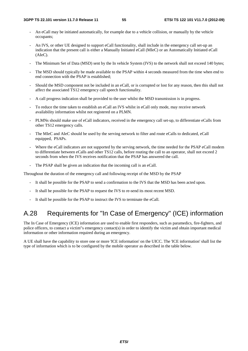- An eCall may be initiated automatically, for example due to a vehicle collision, or manually by the vehicle occupants;
- An IVS, or other UE designed to support eCall functionality, shall include in the emergency call set-up an indication that the present call is either a Manually Initiated eCall (MIeC) or an Automatically Initiated eCall (AIeC).
- The Minimum Set of Data (MSD) sent by the In vehicle System (IVS) to the network shall not exceed 140 bytes;
- The MSD should typically be made available to the PSAP within 4 seconds measured from the time when end to end connection with the PSAP is established;
- Should the MSD component not be included in an eCall, or is corrupted or lost for any reason, then this shall not affect the associated TS12 emergency call speech functionality.
- A call progress indication shall be provided to the user whilst the MSD transmission is in progress.
- To reduce the time taken to establish an eCall an IVS whilst in eCall only mode, may receive network availability information whilst not registered on a PLMN.
- PLMNs should make use of eCall indicators, received in the emergency call set-up, to differentiate eCalls from other TS12 emergency calls.
- The MIeC and AIeC should be used by the serving network to filter and route eCalls to dedicated, eCall equipped, PSAPs.
- Where the eCall indicators are not supported by the serving network, the time needed for the PSAP eCall modem to differentiate between eCalls and other TS12 calls, before routing the call to an operator, shall not exceed 2 seconds from when the IVS receives notification that the PSAP has answered the call.
- The PSAP shall be given an indication that the incoming call is an eCall.

Throughout the duration of the emergency call and following receipt of the MSD by the PSAP

- It shall be possible for the PSAP to send a confirmation to the IVS that the MSD has been acted upon.
- It shall be possible for the PSAP to request the IVS to re-send its most recent MSD.
- It shall be possible for the PSAP to instruct the IVS to terminate the eCall.

## A.28 Requirements for "In Case of Emergency" (ICE) information

The In Case of Emergency (ICE) information are used to enable first responders, such as paramedics, fire-fighters, and police officers, to contact a victim"s emergency contact(s) in order to identify the victim and obtain important medical information or other information required during an emergency.

A UE shall have the capability to store one or more 'ICE information' on the UICC. The 'ICE information' shall list the type of information which is to be configured by the mobile operator as described in the table below.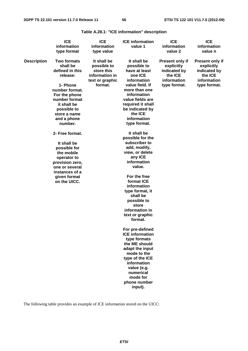**Table A.28.1: "ICE information" description** 

|                    | <b>ICE</b>                                                                                                                                                                                                                                                                                                                                                                  | <b>ICE</b>                                                                               |                                                                                                                                                                                                                                                                                                                                                                                                                                                                                                                                                                                                                                                                                                                                    | <b>ICE</b>                                                                                     | <b>ICE</b>                                                                              |  |
|--------------------|-----------------------------------------------------------------------------------------------------------------------------------------------------------------------------------------------------------------------------------------------------------------------------------------------------------------------------------------------------------------------------|------------------------------------------------------------------------------------------|------------------------------------------------------------------------------------------------------------------------------------------------------------------------------------------------------------------------------------------------------------------------------------------------------------------------------------------------------------------------------------------------------------------------------------------------------------------------------------------------------------------------------------------------------------------------------------------------------------------------------------------------------------------------------------------------------------------------------------|------------------------------------------------------------------------------------------------|-----------------------------------------------------------------------------------------|--|
|                    | information                                                                                                                                                                                                                                                                                                                                                                 | information                                                                              |                                                                                                                                                                                                                                                                                                                                                                                                                                                                                                                                                                                                                                                                                                                                    | information                                                                                    | information                                                                             |  |
|                    | type format                                                                                                                                                                                                                                                                                                                                                                 | type value                                                                               |                                                                                                                                                                                                                                                                                                                                                                                                                                                                                                                                                                                                                                                                                                                                    | value 2                                                                                        | value n                                                                                 |  |
| <b>Description</b> | <b>Two formats</b><br>shall be<br>defined in this<br>release:<br>1- Phone<br>number format.<br>For the phone<br>number format<br>it shall be<br>possible to<br>store a name<br>and a phone<br>number.<br>2- Free format.<br>It shall be<br>possible for<br>the mobile<br>operator to<br>provision zero,<br>one or several<br>instances of a<br>given format<br>on the UICC. | It shall be<br>possible to<br>store this<br>information in<br>text or graphic<br>format. | It shall be<br>possible to<br>have at least<br>one ICE<br>information<br>value field. If<br>more than one<br>information<br>value fields are<br>required it shall<br>be indicated by<br>the ICE<br>information<br>type format.<br>It shall be<br>possible for the<br>subscriber to<br>add, modify,<br>view, or delete<br>any ICE<br>information<br>value.<br>For the free<br>format ICE<br>information<br>type format, it<br>shall be<br>possible to<br>store<br>information in<br>text or graphic<br>format.<br>For pre-defined<br><b>ICE</b> information<br>type formats<br>the ME should<br>adapt the input<br>mode to the<br>type of the ICE<br>information<br>value (e.g.<br>numerical<br>mode for<br>phone number<br>input). | <b>Present only if</b><br>explicitly<br>indicated by<br>the ICE<br>information<br>type format. | Present only if<br>explicitly<br>indicated by<br>the ICE<br>information<br>type format. |  |

The following table provides an example of ICE information stored on the UICC: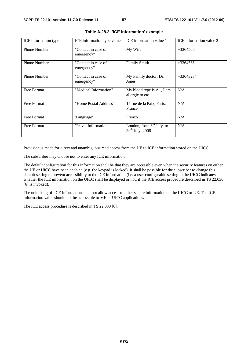| ICE information type | ICE information type value        | ICE information value 1                             | ICE information value 2 |
|----------------------|-----------------------------------|-----------------------------------------------------|-------------------------|
| <b>Phone Number</b>  | "Contact in case of<br>emergency" | My Wife                                             | $+3364566$              |
| <b>Phone Number</b>  | "Contact in case of<br>emergency" | <b>Family Smith</b>                                 | $+3364565$              |
| <b>Phone Number</b>  | "Contact in case of<br>emergency" | My Family doctor: Dr.<br>Jones                      | $+33643234$             |
| <b>Free Format</b>   | "Medical Information"             | My blood type is $A+$ , I am<br>allergic to etc.    | N/A                     |
| Free Format          | "Home Postal Address"             | 15 rue de la Paix, Paris,<br>France                 | N/A                     |
| Free Format          | 'Language'                        | French                                              | N/A                     |
| Free Format          | 'Travel Information'              | London, from $3rd$ July. to<br>$29^{th}$ July, 2008 | N/A                     |

|  |  |  | Table A.28.2: 'ICE information' example |  |
|--|--|--|-----------------------------------------|--|
|--|--|--|-----------------------------------------|--|

Provision is made for direct and unambiguous read access from the UE to ICE information stored on the UICC.

The subscriber may choose not to enter any ICE information.

The default configuration for this information shall be that they are accessible even when the security features on either the UE or UICC have been enabled (e.g. the keypad is locked). It shall be possible for the subscriber to change this default setting to prevent accessibility to the ICE information (i.e. a user configurable setting in the UICC indicates whether the ICE information on the UICC shall be displayed or not, if the ICE access procedure described in TS 22.030 [6] is invoked).

The unlocking of ICE information shall not allow access to other secure information on the UICC or UE. The ICE information value should not be accessible to ME or UICC applications.

The ICE access procedure is described in TS 22.030 [6].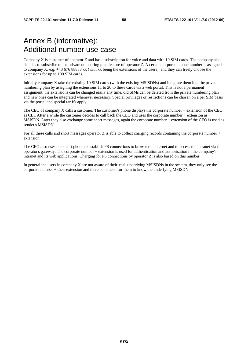# Annex B (informative): Additional number use case

Company X is customer of operator Z and has a subscription for voice and data with 10 SIM cards. The company also decides to subscribe to the private numbering plan feature of operator Z. A certain corporate phone number is assigned to company X, e.g. +43 676 88888 xx (with xx being the extensions of the users), and they can freely choose the extensions for up to 100 SIM cards.

Initially company X take the existing 10 SIM cards (with the existing MSISDNs) and integrate them into the private numbering plan by assigning the extensions 11 to 20 to these cards via a web portal. This is not a permanent assignment, the extensions can be changed easily any time, old SIMs can be deleted from the private numbering plan and new ones can be integrated whenever necessary. Special privileges or restrictions can be chosen on a per SIM basis via the portal and special tariffs apply.

The CEO of company X calls a customer. The customer's phone displays the corporate number + extension of the CEO as CLI. After a while the customer decides to call back the CEO and uses the corporate number + extension as MSISDN. Later they also exchange some short messages, again the corporate number + extension of the CEO is used as sender's MSISDN.

For all these calls and short messages operator  $Z$  is able to collect charging records containing the corporate number + extension.

The CEO also uses her smart phone to establish PS connections to browse the internet and to access the intranet via the operator's gateway. The corporate number + extension is used for authentication and authorisation in the company's intranet and its web applications. Charging for PS connections by operator Z is also based on this number.

In general the users in company X are not aware of their 'real' underlying MSISDNs in the system, they only see the corporate number + their extension and there is no need for them to know the underlying MSISDN.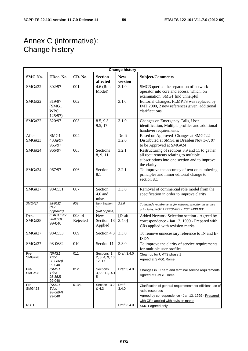# Annex C (informative): Change history

| <b>Change history</b>  |                                           |                    |                                          |                       |                                                                                                                                                                             |  |  |  |  |  |
|------------------------|-------------------------------------------|--------------------|------------------------------------------|-----------------------|-----------------------------------------------------------------------------------------------------------------------------------------------------------------------------|--|--|--|--|--|
| SMG No.                | TDoc. No.                                 | CR. No.            | <b>Section</b><br>affected               | <b>New</b><br>version | Subject/Comments                                                                                                                                                            |  |  |  |  |  |
| <b>SMG#22</b>          | 302/97                                    | 001                | 4.6 (Role<br>Model)                      | 3.1.0                 | SMG3 queried the separation of network<br>operator into core and access, which, on<br>examination, SMG1 find unhelpful                                                      |  |  |  |  |  |
| <b>SMG#22</b>          | 319/97<br>(SMG1)<br><b>WPC</b><br>125/97) | 002                |                                          | $\overline{3.1.0}$    | Editorial Changes: FLMPTS was replaced by<br>IMT 2000, 2 new references given, additional<br>clarifications.                                                                |  |  |  |  |  |
| <b>SMG#22</b>          | 320/97                                    | 003                | 8.5, 9.3,<br>9.5, 17                     | 3.1.0                 | Changes on Emergency Calls, User<br>identification, Multiple profiles and additional<br>handover requirements.                                                              |  |  |  |  |  |
| After<br><b>SMG#23</b> | SMG1<br>433u/97<br>965/97                 | 004                |                                          | Draft<br>3.2.0        | Based on Approved Changes at SMG#22<br>Distributed at SMG1 in Dresden Nov 3-7, 97<br>to be Approved at SMG#24                                                               |  |  |  |  |  |
| <b>SMG#24</b>          | 966/97                                    | 005                | Sections<br>8, 9, 11                     | 3.2.1                 | Restructuring of sections 8,9 and 11 to gather<br>all requirements relating to multiple<br>subscriptions into one section and to improve<br>the clarity.                    |  |  |  |  |  |
| <b>SMG#24</b>          | 967/97                                    | 006                | Section<br>8.1                           | 3.2.1                 | To improve the accuracy of text on numbering<br>principles and minor editorial change to<br>section 8.1                                                                     |  |  |  |  |  |
| <b>SMG#27</b>          | 98-0551                                   | 007                | Section<br>4.6 and<br>misc.              | 3.3.0                 | Removal of commercial role model from the<br>specification in order to improve clarity                                                                                      |  |  |  |  |  |
| $SMG\#27$              | 98-0552<br>(Not<br>Approved)              | 008                | New Section<br>18<br>(Not Applied)       | 3.3.0                 | To include requirements for network selection in service<br>principles: NOT APPROVED > NOT APPLIED                                                                          |  |  |  |  |  |
| Pre-<br><b>SMG#28</b>  | (SMG1 Tdoc<br>98-0893)<br>99-040          | 008 r4<br>Rejected | <b>New</b><br>Section 18<br>Applied      | [Draft<br>3.4.0]      | Added Network Selection section - Agreed by<br>correspondence - Jan 13, 1999 - Prepared with<br>CRs applied with revision marks                                             |  |  |  |  |  |
| <b>SMG#27</b>          | 98-0553                                   | 009                | Section 4.3                              | 3.3.0                 | To remove unnecessary reference to IN and B-<br><b>ISDN</b>                                                                                                                 |  |  |  |  |  |
| <b>SMG#27</b>          | 98-0682                                   | 010                | Section 11                               | 3.3.0                 | To improve the clarity of service requirements<br>for multiple user profiles                                                                                                |  |  |  |  |  |
| Pre-<br><b>SMG#28</b>  | (SMG1<br>Tdoc<br>98-0869)<br>99-040       | 011                | Sections 1.<br>2, 3, 4, 9, 10,<br>12, 17 | Draft 3.4.0           | Clean up for UMTS phase 1<br>Agreed at SMG1 Rome                                                                                                                            |  |  |  |  |  |
| Pre-<br><b>SMG#28</b>  | (SMG1)<br>Tdoc<br>98-852)<br>99-040       | 012                | Sections<br>3,8,9,11,14,1<br>5           | Draft 3.4.0           | Changes in IC card and terminal service requirements<br>Agreed at SMG1 Rome                                                                                                 |  |  |  |  |  |
| Pre-<br><b>SMG#28</b>  | (SMG1)<br>Tdoc<br>98-0894)<br>99-040      | 013r1              | Section<br>3.2<br>& 4.3                  | Draft<br>3.4.0        | Clarification of general requirements for efficient use of<br>radio resources<br>Agreed by correspondence - Jan 13, 1999 - Prepared<br>with CRs applied with revision marks |  |  |  |  |  |
| <b>NOTE</b>            |                                           |                    |                                          | Draft 3.4.0           | SMG1 agreed only                                                                                                                                                            |  |  |  |  |  |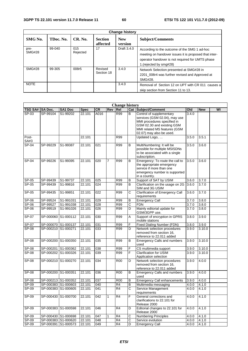$\mathbf{r}$ 

L,

| <b>Change history</b> |           |                 |                            |                       |                                                                                                                                                                                      |  |  |  |
|-----------------------|-----------|-----------------|----------------------------|-----------------------|--------------------------------------------------------------------------------------------------------------------------------------------------------------------------------------|--|--|--|
| SMG No.               | TDoc. No. | CR. No.         | <b>Section</b><br>affected | <b>New</b><br>version | <b>Subject/Comments</b>                                                                                                                                                              |  |  |  |
| pre-<br><b>SMG#28</b> | 99-040    | 015<br>Rejected | 17                         | Draft 3.4.0           | According to the outcome of the SMG 1 ad-hoc<br>meeting on handover issues it is proposed that inter-<br>operator handover is not required for UMTS phase<br>1. (rejected by smg#28) |  |  |  |
| <b>SMG#28</b>         | 99-305    | 008r5           | Revised<br>Section 18      | 3.4.0                 | Network Selection presented at SMG#28 in<br>2201 008r4 was further revised and Approved at<br>SMG#28.                                                                                |  |  |  |
| <b>NOTE</b>           |           |                 |                            | 3.4.0                 | Removal of Section 12 on UPT with CR 011 causes a<br>skip section from Section 11 to 13.                                                                                             |  |  |  |

| <b>Change history</b> |                     |                     |             |      |              |                |                         |                                                                                                                                                                                    |       |            |    |
|-----------------------|---------------------|---------------------|-------------|------|--------------|----------------|-------------------------|------------------------------------------------------------------------------------------------------------------------------------------------------------------------------------|-------|------------|----|
| <b>TSG SA#</b>        | SA Doc.             | SA1 Doc             | <b>Spec</b> | CR   | <b>Rev</b>   | Rel            |                         | <b>Cat Subject/Comment</b>                                                                                                                                                         | Old   | <b>New</b> | WI |
| $SP-03$               | SP-99104            | S1-99202            | 22.101      | A016 |              | R99            | B                       | Control of supplementary<br>services (GSM 02.04), may use<br>MMI procedures specified in<br>GSM 02.30 and existing GSM<br>MMI related MS features (GSM<br>02.07) may also be used. | 3.4.0 |            |    |
| Post-<br>SA#3         |                     |                     | 22.101      |      |              | R99            |                         | Updated Logo,                                                                                                                                                                      | 3.5.0 | 3.5.1      |    |
| $SP-04$               | SP-99229            | S1-99387            | 22.101      | 021  |              | R99            | B                       | MultiNumbering: It will be<br>possible for multiple MSISDNs<br>to be associated with a single<br>subscription.                                                                     | 3.5.0 | 3.6.0      |    |
| SP-04                 | SP-99226            | S1-99395            | 22.101      | 020  | 7            | R99            | В                       | Emergency: To route the call to<br>the appropriate emergency<br>service if more than one<br>emergency number is supported<br>in a country.                                         | 3.5.0 | 3.6.0      |    |
| $SP-05$               | SP-99439            | S1-99737            | 22.101      | 025  |              | <b>R99</b>     | В                       | Support of SAT by USIM                                                                                                                                                             | 3.6.0 | 3.7.0      |    |
| SP-05                 | SP-99439            | S1-99816            | 22.101      | 024  |              | R99            | B                       | Clarification on the usage on 2G<br>SIM and 3G USIM                                                                                                                                | 3.6.0 | 3.7.0      |    |
| SP-05                 | SP-99435            | S1-99851            | 22.101      | 022  |              | R99            | C                       | <b>Clarification of Emergency Call</b><br>requirements                                                                                                                             | 3.6.0 | 3.7.0      |    |
| SP-06                 | SP-99524            | S1-991031           | 22.101      | 029  |              | <b>R99</b>     | B                       | <b>Emergency Call</b>                                                                                                                                                              | 3.7.0 | 3.8.0      |    |
| $SP-06$               | SP-99527            | S1-991038           | 22.101      | 028  |              | R99            | $\overline{\text{c}}$   | <b>FDN</b>                                                                                                                                                                         | 3.7.0 | 3.8.0      |    |
| SP-06                 | SP-99519            | S1-991026           | 22.101      | 026  |              | R99            | D                       | Mainly editorial update for<br>GSM/3GPP use.                                                                                                                                       | 3.7.0 | 3.8.0      |    |
| SP-07                 | SP-000060           | S1-000112           | 22.101      | 030  |              | <b>R99</b>     | Α                       | Support of encryption in GPRS<br>mobile stations                                                                                                                                   | 3.8.0 | 3.9.0      |    |
| SP-07                 | SP-000070 S1-000137 |                     | 22.101      | 031  |              | <b>R99</b>     | F                       | <b>Fixed Dialing Number (FDN)</b>                                                                                                                                                  | 3.8.0 | 3.9.0      |    |
| SP-08                 | SP-000210 S1-000271 |                     | 22.101      | 033  |              | <b>R99</b>     | D                       | Network selection procedures<br>removed from section 16.<br>reference to 22.011 added                                                                                              | 3.9.0 | 3.10.0     |    |
| SP-08                 | SP-000200 S1-000350 |                     | 22.101      | 035  |              | <b>R99</b>     | В                       | <b>Emergency Calls and numbers</b><br>used                                                                                                                                         | 3.9.0 | 3.10.0     |    |
| SP-08                 | SP-000201 S1-000362 |                     | 22.101      | 038  |              | R99            | F                       | CS multimedia support                                                                                                                                                              | 3.9.0 | 3.10.0     |    |
| <b>SP-08</b>          | SP-000202 S1-000326 |                     | 22.101      | 039  |              | R99            | F                       | <b>Clarification for USIM</b><br>Application selection                                                                                                                             | 3.9.0 | 3.10.0     |    |
| SP-08                 | SP-000210 S1-000270 |                     | 22.101      | 034  |              | <b>R00</b>     | D                       | Network selection procedures<br>removed from section 16,<br>reference to 22.011 added                                                                                              | 3.9.0 | 4.0.0      |    |
| <b>SP-08</b>          | SP-000200 S1-000351 |                     | 22.101      | 036  |              | <b>R00</b>     | B                       | <b>Emergency Calls and numbers</b><br>used                                                                                                                                         | 3.9.0 | 4.0.0      |    |
| SP-08                 | SP-000213 S1-000352 |                     | 22.101      | 037  |              | <b>R00</b>     | B                       | <b>Emergency Call enhancements</b>                                                                                                                                                 | 3.9.0 | 4.0.0      |    |
| SP-09                 | SP-000383 S1-000603 |                     | 22.101      | 040  |              | R <sub>4</sub> | B                       | Multimedia messaging                                                                                                                                                               | 4.0.0 | 4.1.0      |    |
| $SP-09$               |                     | SP-000383 S1-000605 | 22.101      | 041  |              | R4             | $\overline{\mathsf{c}}$ | Service Management<br>requirements                                                                                                                                                 | 4.0.0 | 4.1.0      |    |
| SP-09                 | SP-000430 S1-000700 |                     | 22.101      | 042  | $\mathbf{1}$ | R <sub>4</sub> | F                       | General corrections and<br>clarifications to 22.101 for<br>Release 2000                                                                                                            | 4.0.0 | 4.1.0      |    |
| SP-09                 | SP-000383 S1-000598 |                     | 22.101      | 046  |              | R4             | D                       | Editorial changes to 22.101 for<br>Release 2000                                                                                                                                    | 4.0.0 | 4.1.0      |    |
| <b>SP-09</b>          | SP-000430 S1-000698 |                     | 22.101      | 047  | 1            | R <sub>4</sub> | $\overline{\text{c}}$   | <b>Numbering Principles</b>                                                                                                                                                        | 4.0.0 | 4.1.0      |    |
| $SP-09$               | SP-000383 S1-000620 |                     | 22.101      | 048  |              | R4             | C                       | Service evolution                                                                                                                                                                  | 4.0.0 | 4.1.0      |    |
| SP-09                 | SP-000391 S1-000573 |                     | 22.101      | 049  |              | R <sub>4</sub> | D                       | <b>Emergency Call</b>                                                                                                                                                              | 4.0.0 | 4.1.0      |    |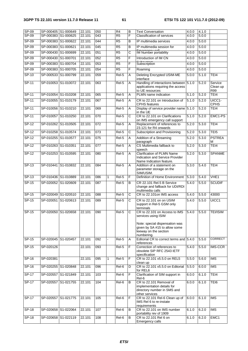| $SP-09$<br>$SP-09$ | SP-000405 S1-000649<br>SP-000383 S1-000625 |           | 22.101<br>22.101 | 050<br>043       |   | R4<br>$\overline{R5}$ | B<br>F                | <b>Text Conversation</b><br><b>Classification of services</b>                                                                                                  | 4.0.0<br>4.0.0 | 4.1.0<br>5.0.0 |                            |
|--------------------|--------------------------------------------|-----------|------------------|------------------|---|-----------------------|-----------------------|----------------------------------------------------------------------------------------------------------------------------------------------------------------|----------------|----------------|----------------------------|
| $SP-09$            | SP-000383 S1-000622                        |           | 22.101           | 044              |   | R5                    | B                     | IP multimedia services                                                                                                                                         | 4.0.0          | 5.0.0          |                            |
| SP-09              | SP-000383 S1-000621                        |           | 22.101           | 045              |   | $\overline{R5}$       | B                     | IP multimedia session for                                                                                                                                      | 4.0.0          | 5.0.0          |                            |
|                    |                                            |           |                  | $\overline{051}$ |   |                       |                       | IM Number portability                                                                                                                                          |                |                |                            |
| $SP-09$            | SP-000430 S1-000699                        |           | 22.101           |                  |   | R5                    | C                     |                                                                                                                                                                | 4.0.0          | 5.0.0          |                            |
| $SP-09$            | SP-000430 S1-000701                        |           | 22.101           | 052              |   | $\overline{R5}$       | F                     | Introduction of IM CN                                                                                                                                          | 4.0.0          | 5.0.0          |                            |
| $SP-09$            | SP-000383 S1-000704                        |           | 22.101           | 053              |   | R5                    | F                     | Subscription                                                                                                                                                   | 4.0.0          | 5.0.0          |                            |
| $SP-09$            | SP-000383 S1-000705                        |           | 22.101           | 054              |   | R <sub>5</sub>        | F                     | Roaming                                                                                                                                                        | 4.0.0          | 5.0.0          |                            |
| $SP-10$            | SP-000533 S1-000799                        |           | 22.101           | 059              |   | $Rel-5$               | A                     | <b>Deleting Encrypted USIM-ME</b><br>interface                                                                                                                 | 5.0.0          | 5.1.0          | TEI4                       |
| $SP-11$            | SP-010053 S1-010072                        |           | 22.101           | $\overline{063}$ |   | Rel-5                 | Α                     | Handling of interactions between<br>applications requiring the access<br>to UE resources                                                                       | 5.1.0          | 5.2.0          | Service<br>Clean up<br>R99 |
| $SP-11$            | SP-010054 S1-010208                        |           | 22.101           | 065              |   | Rel-5                 | Α                     | PLMN name indication                                                                                                                                           | 5.1.0          | 5.2.0          | TEI4                       |
| SP-11              | SP-010055 S1-010179                        |           | 22.101           | 067              |   | Rel-5                 | A                     | CR to 22.101 on Introduction of<br><b>CPHS</b> features                                                                                                        | 5.1.0          | 5.2.0          | UICC1-<br><b>CPHS</b>      |
| $SP-11$            | SP-010056 S1-010210                        |           | 22.101           | 069              |   | Rel-5                 | A                     | Display of service provider name 5.1.0<br>in the UE                                                                                                            |                | 5.2.0          | TEI4                       |
| $SP-11$            | SP-010057 S1-010250                        |           | 22.101           | $\overline{070}$ |   | Rel-5                 | C                     | CR to 22.101 on Clarifications<br>on IMS emergency call support                                                                                                | 5.1.0          | 5.2.0          | EMC1-PS                    |
| $SP-12$            | SP-010262 S1-010505                        |           | 22.101           | $\overline{072}$ |   | Rel-5                 | A                     | Replacement of references to<br>23.121 for R4 onwards                                                                                                          | 5.2.0          | 5.3.0          | TEI4                       |
| $SP-12$            | SP-010258 S1-010574                        |           | 22.101           | $\overline{073}$ |   | Rel-5                 | $\overline{\text{c}}$ | Subscription and Provisioning                                                                                                                                  | 5.2.0          | 5.3.0          | TEI <sub>5</sub>           |
| SP-12              | SP-010255 S1-010577                        |           | 22.101           | 075              |   | Rel-5                 | Α                     | Addition of a Streaming<br>paragraph                                                                                                                           | 5.2.0          | 5.3.0          | <b>PSTREA</b><br>М         |
| $SP-12$            | SP-010263 S1-010351                        |           | 22.101           | $\overline{077}$ |   | $Rel-5$               | A                     | CS Multimedia fallback to<br>speech                                                                                                                            | 5.2.0          | 5.3.0          | TEI4                       |
| $SP-12$            | SP-010253 S1-010595                        |           | 22.101           | 080              |   | $Rel-5$               | A                     | <b>Clarification of PLMN Name</b><br>Indication and Service Provider<br>Name Indication feature.                                                               | 5.2.0          | 5.3.0          | <b>SPANME</b>              |
| SP-13              | SP-010441                                  | S1-010832 | 22.101           | 084              |   | Rel-5                 | Α                     | Addition of a statement on<br>parameter storage on the<br>SIM/USIM.                                                                                            | 5.3.0          | 5.4.0          | TEI4                       |
| $SP-13$            | SP-010436 S1-010889                        |           | 22.101           | 086              | 1 | Rel-5                 | F                     | Definition of Home Environment                                                                                                                                 | 5.3.0          | 5.4.0          | VHE <sub>1</sub>           |
| $SP-15$            | SP-020052 S1-020609                        |           | 22.101           | $\overline{087}$ |   | Rel-5                 | B                     | CR 22.101 Rel.5 B Service<br>change and fallback for UDI/RDI<br>multimedia calls                                                                               | 5.4.0          | 5.5.0          | <b>SCUDIF</b>              |
| SP-15              | SP-020049 S1-020510                        |           | 22.101           | 088              |   | Rel-5                 | $\mathsf C$           | CR to 22.101on IMS access                                                                                                                                      | 5.4.0          | 5.5.0          | 43000                      |
| SP-15              | SP-020051                                  | S1-020613 | 22.101           | 089              |   | $Rel-5$               | C                     | CR to 22.101 on on USIM<br>support in Rel-5 GSM only<br>terminals                                                                                              | 5.4.0          | 5.5.0          | UICC1                      |
| $SP-15$            | SP-020050 S1-020658                        |           | 22.101           | 090              |   | Rel-5                 | C                     | CR to 22.101 on Access to IMS<br>services using ISIM<br>Note: special dispensation was<br>given by SA #15 to allow some<br>leeway on the section<br>numbering. | 5.4.0          | 5.5.0          | <b>TEI/ISIM</b>            |
| SP-15              | SP-020045 S1-020457                        |           | 22.101           | 092              |   | Rel-5                 | Α                     | Editorial CR to correct terms and 5.4.0<br>references                                                                                                          |                | 5.5.0          | <b>CORRECT</b>             |
| $SP-15$            | SP-020126                                  |           | 22.101           | 093              |   | Rel-5                 | F                     | Correction of references to<br>obsolete SIP RFC 2543 IETF<br>specification                                                                                     | 5.4.0          | 5.5.0          | IMS-CCR                    |
| SP-16              | SP-020381                                  |           | 22.101           | 095              | 1 | Rel-5                 | F                     | CR to 22.101 v5.5.0 on REL5<br>clean up                                                                                                                        | 5.5.0          | 5.6.0          | <b>IMS</b>                 |
| SP-16              | SP-020255 S1-020848                        |           | 22.101           | 096              |   | Rel-6                 | D                     | CR to 22.101 v5.5.0 on Editorial<br>for REL6                                                                                                                   | 5.5.0          | 6.0.0          | <b>IMS</b>                 |
| $SP-17$            | SP-020557 S1-021849                        |           | 22.101           | 103              |   | Rel-6                 | F                     | Clarification of SIM support in<br>Rel-6                                                                                                                       | 6.0.0          | 6.1.0          | TEI4                       |
| SP-17              | SP-020557 S1-021755                        |           | 22.101           | 104              |   | Rel-6                 | B                     | CR to 22.101 Removal of<br>implementation details for<br>directory number in SMS and<br>other services                                                         | 6.0.0          | 6.1.0          | TEI6                       |
| SP-17              | SP-020557 S1-021775                        |           | 22.101           | 105              |   | $\overline{Rel}$ -6   | F                     | CR to 22.101 Rel-6 Clean up of<br>IMS Rel 6 to re-instate<br>requirements                                                                                      | 6.0.0          | 6.1.0          | <b>IMS</b>                 |
| SP-18              | SP-020658 S1-022064                        |           | 22.101           | 107              |   | Rel-6                 | В                     | CR to 22.101 on IMS number                                                                                                                                     | 6.1.0          | 6.2.0          | <b>IMS</b>                 |
| SP-18              | SP-020658 S1-022119                        |           | 22.101           | 108              |   | Rel-6                 | B                     | portability rev of 1909<br>CR to 22.101 Rel 6 on<br>Emergency calls                                                                                            | 6.1.0          | 6.2.0          | EMC1                       |
|                    |                                            |           |                  |                  |   |                       |                       |                                                                                                                                                                |                |                |                            |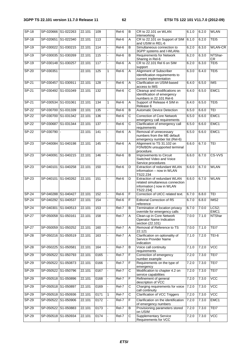| $SP-18$      |                     | SP-020666 S1-022263 | 22.101 | 109              |    | Rel-6   | $\overline{B}$        | CR to 22,101 on WLAN                                                                                      | 6.1.0 | 6.2.0 | <b>WLAN</b>      |
|--------------|---------------------|---------------------|--------|------------------|----|---------|-----------------------|-----------------------------------------------------------------------------------------------------------|-------|-------|------------------|
| $SP-18$      |                     | SP-020651 S1-022340 | 22.101 | $\overline{113}$ |    | Rel-6   | A                     | interworking<br>CR to 22.101 on Support of SIM                                                            | 6.1.0 | 6.2.0 | TEI <sub>5</sub> |
| SP-19        |                     | SP-030022 S1-030215 | 22.101 | 114              |    | Rel-6   | B                     | and USIM in REL-6<br>Simultaneous connection to<br>3GPP systems and I-WLANs                               | 6.2.0 | 6.3.0 | <b>WLAN-CR</b>   |
| $SP-19$      | SP-030035 S1-030269 |                     | 22.101 | 115              |    | Rel-6   | В                     | <b>Requirements for Network</b><br>Sharing in Rel-6                                                       | 6.2.0 | 6.3.0 | NTShar-<br>CR    |
| SP-19        | SP-030148 S1-030257 |                     | 22.101 | 117              | L. | Rel-6   | A                     | CR to 22.101 Rel 6 on SIM<br>support                                                                      | 6.2.0 | 6.3.0 | TEI <sub>5</sub> |
| $SP-20$      | SP-030351           |                     | 22.101 | 125              | 1  | $Rel-6$ | Α                     | <b>Alignment of Subscriber</b><br>Identification requirements to<br>current implementation                | 6.3.0 | 6.4.0 | TEI <sub>5</sub> |
| $SP-21$      | SP-030457 S1-030911 |                     | 22.101 | 128              |    | Rel-6   | Α                     | Clarification on USIM-based<br>access to IMS                                                              | 6.4.0 | 6.5.0 | <b>IMS</b>       |
| $SP-21$      | SP-030492 S1-031049 |                     | 22.101 | 132              |    | Rel-6   | $\overline{\text{c}}$ | Cleanup and modifications on<br>identification of emergency<br>numbers in 22.101 Rel-6                    | 6.4.0 | 6.5.0 | EMC1             |
| $SP-21$      | SP-030534 S1-031061 |                     | 22.101 | 134              | 1  | Rel-6   | Α                     | Support of Release 4 SIM in<br>Release 6                                                                  | 6.4.0 | 6.5.0 | TEI <sub>5</sub> |
| $SP-22$      |                     | SP-030700 S1-031339 | 22.101 | 135              |    | Rel-6   | B                     | <b>Automatic Device Detection</b>                                                                         | 6.5.0 | 6.6.0 | <b>TEI</b>       |
| <b>SP-22</b> |                     | SP-030700 S1-031342 | 22.101 | 136              |    | $Rel-6$ | $\overline{\text{c}}$ | <b>Correction of Core Network</b><br>emergency call requirements                                          | 6.5.0 | 6.6.0 | EMC1             |
| $SP-22$      |                     | SP-030687 S1-031344 | 22.101 | 137              |    | Rel-6   | С                     | Clarification of emergency call<br>requirements                                                           | 6.5.0 | 6.6.0 | EMC1             |
| $SP-22$      | SP-030790           |                     | 22.101 | 141              |    | Rel-6   | A                     | Removal of unnecessary<br>numbers from the ME default<br>emergency number list (Rel-6)                    | 6.5.0 | 6.6.0 | EMC1             |
| $SP-23$      |                     | SP-040084 S1-040198 | 22.101 | 145              |    | Rel-6   | Α                     | Alignment to TS 31.102 on<br>FDN/BDN unsupported terminal<br>procedure.                                   | 6.6.0 | 6.7.0 | <b>TEI</b>       |
| $SP-23$      | SP-040091           | S1-040215           | 22.101 | 146              |    | Rel-6   | В                     | Improvements to Circuit<br>Switched Video and Voice<br>Service procedures                                 | 6.6.0 | 6.7.0 | CS-VVS           |
| SP-23        |                     | SP-040101 S1-040258 | 22.101 | 150              |    | Rel-6   | D                     | Extraction of redundant WLAN<br>information - now in WLAN<br>TS22.234                                     | 6.6.0 | 6.7.0 | <b>WLAN</b>      |
| SP-23        |                     | SP-040101 S1-040262 | 22.101 | 151              |    | Rel-6   | D                     | Extraction of redundant WLAN<br>related simultaneous connection<br>information [ now in WLAN<br>TS22.234] | 6.6.0 | 6.7.0 | <b>WLAN</b>      |
| $SP-24$      |                     | SP-040288 S1-040427 | 22.101 | 152              |    | Rel-6   | F                     | Correction of UICC related text.                                                                          | 6.7.0 | 6.8.0 | TEI              |
| <b>SP-24</b> | SP-040292 S1-040537 |                     | 22.101 | 154              |    | Rel-6   | F                     | <b>Editorial Correction of R5</b><br>reference                                                            | 6.7.0 | 6.8.0 | IMS2             |
| $SP-24$      | SP-040301           | S1-040513           | 22.101 | 153              |    | Rel-7   | $\overline{B}$        | Termination of location privacy<br>override for emergency calls                                           | 6.7.0 | 7.0.0 | LCS2;<br>EMC1    |
| <b>SP-27</b> |                     | SP-050058 S1-050161 | 22.101 | 158              |    | Rel-7   | <b>IA</b>             | Clean-up in Core Network<br><b>Operator Name Indication</b><br>section (22.101)                           | 7.0.0 | 7.1.0 | NTShar           |
| $SP-27$      |                     | SP-050059 S1-050252 | 22.101 | 160              |    | Rel-7   | Α                     | Removal of Reference to TS<br>22.121                                                                      | 7.0.0 | 7.1.0 | TEI7             |
| <b>SP-28</b> |                     | SP-050216 S1-050519 | 22.101 | 163              |    | Rel-7   | Α                     | Clarification on optionality of<br>Service Provider Name<br>indication                                    | 7.1.0 | 7.2.0 | TEI-6            |
| $SP-28$      | SP-050225 S1-050581 |                     | 22.101 | 164              |    | Rel-7   | В                     | Voice call continuity<br>requirements                                                                     | 7.1.0 | 7.2.0 | <b>VCC</b>       |
| $SP-29$      |                     | SP-050522 S1-050793 | 22.101 | 0165             |    | Rel-7   | F                     | Correction of emergency<br>number example                                                                 | 7.2.0 | 7.3.0 | TEI7             |
| SP-29        |                     | SP-050522 S1-050873 | 22.101 | 0166             |    | Rel-7   | F                     | Requirements on the type of<br>emergency                                                                  | 7.2.0 | 7.3.0 | TEI7             |
| $SP-29$      |                     | SP-050522 S1-050796 | 22.101 | 0167             |    | Rel-7   | $\overline{C}$        | Modification to chapter 4.2 on<br>service capabilities                                                    | 7.2.0 | 7.3.0 | TEI7             |
| $SP-29$      |                     | SP-050518 S1-050896 | 22.101 | 0168             |    | $Rel-7$ | F                     | Refinement of general<br>description of VCC                                                               | 7.2.0 | 7.3.0 | <b>VCC</b>       |
| $SP-29$      |                     | SP-050518 S1-050897 | 22.101 | 0169             |    | Rel-7   | C                     | Charging requirements for voice<br>call continuity                                                        | 7.2.0 | 7.3.0 | <b>VCC</b>       |
| SP-29        |                     | SP-050518 S1-050936 | 22.101 | 0171             | 1  | Rel-7   | C                     | <b>Clarification of VCC Triggers</b>                                                                      | 7.2.0 | 7.3.0 | <b>VCC</b>       |
| $SP-29$      |                     | SP-050522 S1-050906 | 22.101 | 0172             |    | Rel-7   | F                     | Clarification on the identification<br>of emergency numbers                                               | 7.2.0 | 7.3.0 | EMC1             |
| $SP-29$      |                     | SP-050522 S1-050883 | 22.101 | 0173             |    | Rel-7   | В                     | Provisioning parameters stored<br>on USIM                                                                 | 7.2.0 | 7.3.0 | TEI7             |
| $SP-29$      |                     | SP-050518 S1-050934 | 22.101 | 0174             |    | Rel-7   | $\overline{C}$        | <b>Supplementary Service</b><br>Requirements for VCC                                                      | 7.2.0 | 7.3.0 | <b>VCC</b>       |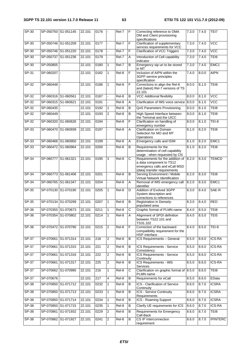| $SP-30$      |                     | SP-050750 S1-051145 | 22.101 | 0176 |                | Rel-7   | F              | Correcting reference to OMA<br>DM and Client provisioning<br>specifications                                                   | 7.3.0 | 7.4.0 | TEI7             |
|--------------|---------------------|---------------------|--------|------|----------------|---------|----------------|-------------------------------------------------------------------------------------------------------------------------------|-------|-------|------------------|
| SP-30        |                     | SP-050746 S1-051209 | 22.101 | 0177 |                | Rel-7   | F              | Clarification of supplementary<br>servces requirements for VCC                                                                | 7.3.0 | 7.4.0 | $\overline{VCC}$ |
| SP-30        |                     | SP-050746 S1-051220 | 22.101 | 0178 |                | Rel-7   | F              | <b>Clarification of VCC Triggers</b>                                                                                          | 7.3.0 | 7.4.0 | $\overline{VCC}$ |
| $SP-30$      |                     | SP-050737 S1-051236 | 22.101 | 0179 |                | Rel-7   | Α              | Introduction of Cell capability<br>indicator                                                                                  | 7.3.0 | 7.4.0 | TEI6             |
| SP-30        | SP-050805           |                     | 22.101 | 0180 | 1              | $ReI-7$ | B              | Emergency sip uri to be stored<br>in MT                                                                                       | 7.3.0 | 7.4.0 | EMC1             |
| SP-31        | SP-060207           |                     | 22.101 | 0182 | $\mathbf{1}$   | Rel-8   | F              | Inclusion of AIPN within the<br>3GPP service principles<br>specification                                                      | 7.4.0 | 8.0.0 | <b>AIPN</b>      |
| $SP-32$      | SP-060448           |                     | 22.101 | 0186 | 1              | Rel-8   | F              | Corrections to align the Rel-8<br>and (latest) Rel-7 versions of TS<br>22.101                                                 | 8.0.0 | 8.1.0 | TEI8             |
| $SP-32$      | SP-060316 S1-060561 |                     | 22.101 | 0187 |                | Rel-8   | B              | <b>VCC Additional flexibility</b>                                                                                             | 8.0.0 | 8.1.0 | VCC              |
| $SP-32$      | SP-060315 S1-060621 |                     | 22.101 | 0191 |                | Rel-8   | Α              | Clarification of IMS voice service                                                                                            | 8.0.0 | 8.1.0 | <b>VCC</b>       |
| <b>SP-32</b> | SP-060435           |                     | 22.101 | 0192 | 1              | Rel-8   | В              | QoS Parameters Provisioning                                                                                                   | 8.0.0 | 8.1.0 | TEI8             |
| SP-32        | SP-060449           |                     | 22.101 | 0193 | 2              | Rel-8   | B              | High Speed Interface between<br>the Terminal and the UICC                                                                     | 8.0.0 | 8.1.0 | TEI8             |
| SP-32        |                     | SP-060320 S1-060626 | 22.101 | 0194 |                | Rel-8   | F              | Clarification on handling of<br>emergency number                                                                              | 8.0.0 | 8.1.0 | TEI-8            |
| SP-33        | SP-060470           | S1-060939           | 22.101 | 0197 |                | $ReI-8$ | Α              | Clarification on Domain<br>Selection for MO and MT<br>Operations                                                              | 8.1.0 | 8.2.0 | TE <sub>18</sub> |
| $SP-33$      |                     | SP-060468 S1-060950 | 22.101 | 0199 |                | Rel-8   | A              | Emergency calls and ISIM                                                                                                      | 8.1.0 | 8.2.0 | EMC1             |
| $SP-33$      |                     | SP-060472 S1-060964 | 22.101 | 0200 |                | Rel-8   | В              | Requirements for the<br>determination of cell capability<br>usage - when requested by CN                                      | 8.1.0 | 8.2.0 | TEI8             |
| $SP-34$      | SP-060777 S1-061321 |                     | 22.101 | 0195 | 3              | Rel-8   | С              | Requirements for the addition of<br>a data component to TS12<br>emergency calls and eCall MSD<br>(data) transfer requirements | 8.2.0 | 8.3.0 | <b>TEMCD</b>     |
| $SP-34$      |                     | SP-060773 S1-061406 | 22.101 | 0201 |                | Rel-8   | В              | Serving Environment / Mobile                                                                                                  | 8.2.0 | 8.3.0 | TE <sub>18</sub> |
| $SP-34$      | SP-060765 S1-061347 |                     | 22.101 | 0204 |                | Rel-8   | Α              | Virtual Network Identification<br>Removal of IMS emergency call<br>identifier                                                 | 8.2.0 | 8.3.0 | EMC1             |
| $SP-35$      | SP-070130           | S1-070190           | 22.101 | 0205 | 1              | Rel-8   | D              | Addition of Evolved 3GPP<br>System description and<br>corrections to references                                               | 8.3.0 | 8.4.0 | SAE-R            |
| $SP-35$      |                     | SP-070134 S1-070299 | 22.101 | 0207 | 1              | Rel-8   | В              | <b>Registration in Densely-</b><br>populated area                                                                             | 8.3.0 | 8.4.0 | <b>RED</b>       |
| $SP-36$      |                     | SP-070355 S1-070673 | 22.101 | 0211 | 1              | Rel-8   | C              | Graphic format of PLMN name                                                                                                   | 8.4.0 | 8.5.0 | TEI8             |
| $SP-36$      |                     | SP-070354 S1-070802 | 22.101 | 0214 | $\overline{1}$ | Rel-8   | $\overline{A}$ | Alignment of SPDI definition<br>between TS22.101 and<br>TS31.102                                                              | 8.4.0 | 8.5.0 | TEI5             |
| $SP-36$      |                     | SP-070472 S1-070790 | 22.101 | 0215 | $\overline{2}$ | Rel-8   | F              | Correction of the backward<br>compatibility requirement for the<br><b>HSP</b> interface                                       | 8.4.0 | 8.5.0 | <b>TEI-8</b>     |
| $SP-37$      |                     | SP-070661 S1-071314 | 22.101 | 218  | 2              | Rel-8   | B              | ICS Requirements - General                                                                                                    | 8.5.0 | 8.6.0 | <b>ICS-RA</b>    |
| $SP-37$      |                     | SP-070661 S1-071315 | 22.101 | 221  | 2              | Rel-8   | В              | ICS Requirements - Service<br>Consistency                                                                                     | 8.5.0 | 8.6.0 | <b>ICS-RA</b>    |
| $SP-37$      | SP-070661           | S1-071316           | 22.101 | 222  | 2              | Rel-8   | В              | <b>ICS Requirements - Service</b><br>Continuity                                                                               | 8.5.0 | 8.6.0 | <b>ICS-RA</b>    |
| $SP-37$      |                     | SP-070661 S1-071317 | 22.101 | 225  | 2              | $Rel-8$ | В              | <b>ICS Requirements - IMS</b><br>Services                                                                                     | 8.5.0 | 8.6.0 | <b>ICS-RA</b>    |
| SP-37        |                     | SP-070662 S1-070995 | 22.101 | 216  | 1              | Rel-8   | C              | Clarification on graphic format of 8.5.0<br>PLMN name                                                                         |       | 8.6.0 | TEI8             |
| $SP-37$      | SP-070676           |                     | 22.101 | 217  | 4              | Rel-8   | В              | Requirements for eCall                                                                                                        | 8.5.0 | 8.6.0 | EData            |
| $SP-38$      |                     | SP-070850 S1-071712 | 22.101 | 0232 | 1              | Rel-8   | в              | ICS - Clarification of Service<br>Continuity                                                                                  | 8.6.0 | 8.7.0 | <b>ICSRA</b>     |
| <b>SP-38</b> |                     | SP-070850 S1-071713 | 22.101 | 0233 | 1              | Rel-8   | В              | ICS - Service Continuity<br>Requirements                                                                                      | 8.6.0 | 8.7.0 | <b>ICSRA</b>     |
| $SP-38$      |                     | SP-070850 S1-071714 | 22.101 | 0234 | 1              | Rel-8   | В              | <b>ICS - Roaming Support</b>                                                                                                  | 8.6.0 | 8.7.0 | <b>ICSRA</b>     |
| <b>SP-38</b> |                     | SP-070850 S1-071715 | 22.101 | 0235 | $\mathbf{1}$   | Rel-8   | В              | Clarify UE requirements for ICS                                                                                               | 8.6.0 | 8.7.0 | <b>ICS-RA</b>    |
| $SP-38$      |                     | SP-070861 S1-071932 | 22.101 | 0229 | 2              | Rel-8   | В              | <b>Requirements for Emergency</b><br>Call-Back                                                                                | 8.6.0 | 8.7.0 | TE <sub>18</sub> |
| $SP-38$      |                     | SP-070862 S1-071927 | 22.101 | 0241 | 2              | Rel-8   | В              | CS IP Interconnection<br>requirement                                                                                          | 8.6.0 | 8.7.0 | <b>IPINTERC</b>  |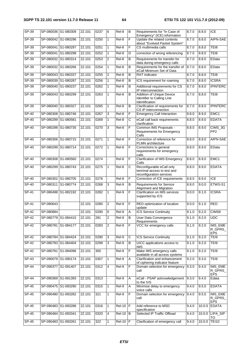| $SP-39$      | SP-080036 S1-080309 |                     | 22.101 | 0237 | 6              | Rel-8         | B              | Requirements for "In Case of<br>Emergency" (ICE) information                         | 8.7.0 | 8.8.0  | <b>ICE</b>                       |
|--------------|---------------------|---------------------|--------|------|----------------|---------------|----------------|--------------------------------------------------------------------------------------|-------|--------|----------------------------------|
| $SP-39$      | SP-080042 S1-080296 |                     | 22.101 | 0250 | $\mathbf{1}$   | Rel-8         | F              | Update the related contents<br>about "Evolved Packet System"                         | 8.7.0 | 8.8.0  | AIPN-SAE                         |
| $SP-39$      | SP-080041 S1-080297 |                     | 22.101 | 0251 | $\mathbf{1}$   | Rel-8         | F              | CS multimedia calls                                                                  | 8.7.0 | 8.8.0  | TEI8                             |
| <b>SP-39</b> | SP-080041 S1-080298 |                     | 22.101 | 0252 | $\mathbf{1}$   | Rel-8         | D              | correction of wrong referencing                                                      | 8.7.0 | 8.8.0  | TEI8                             |
| $SP-39$      | SP-080032 S1-080314 |                     | 22.101 | 0253 | 2              | Rel-8         | B              | Requirements for transfer for<br>data during emergency calls                         | 8.7.0 | 8.8.0  | EData                            |
| $SP-39$      | SP-080032 S1-080266 |                     | 22.101 | 0254 | 1              | Rel-8         | $\overline{B}$ | Requirements for the transfer of<br>eCall Minimum Set of Data                        | 8.7.0 | 8.8.0  | EData                            |
| SP-39        | SP-080043 S1-080337 |                     | 22.101 | 0255 | 2              | Rel-8         | B              | <b>RAT</b> indicator                                                                 | 8.7.0 | 8.8.0  | TEI8                             |
| SP-39        | SP-080039 S1-080287 |                     | 22.101 | 0256 | $\mathbf{1}$   | Rel-8         | В              | ICS requirement for roaming                                                          | 8.7.0 | 8.8.0  | <b>ICSRA</b>                     |
| <b>SP-39</b> | SP-080040 S1-080237 |                     | 22.101 | 0262 | $\mathbf{1}$   | Rel-8         | B              | Additional requirements for CS<br>IP interconnection                                 | 8.7.0 | 8.8.0  | <b>IPINTERC</b>                  |
| $SP-39$      | SP-080043 S1-080299 |                     | 22.101 | 0263 | 1              | Rel-8         | B              | <b>Addition of Unique Device</b><br>Identifier to Calling Line<br>Identification     | 8.7.0 | 8.8.0  | TE <sub>18</sub>                 |
| SP-39        | SP-080040 S1-080327 |                     | 22.101 | 0265 | 1              | Rel-8         | $\overline{B}$ | Clarification of requirements for<br>CS IP interconnection                           | 8.7.0 | 8.8.0  | <b>IPINTERC</b>                  |
| SP-40        | SP-080308 S1-080746 |                     | 22.101 | 0267 | $\mathbf{3}$   | Rel-8         | F              | <b>Emergency Call Interaction</b>                                                    | 8.8.0 | 8.9.0  | EMC1                             |
| $SP-40$      | SP-080299 S1-080581 |                     | 22.101 | 0269 | $\mathbf{1}$   | Rel-8         | С              | eCall call back requirements<br>clarification                                        | 8.8.0 | 8.9.0  | <b>EDATA</b>                     |
| $SP-40$      | SP-080298 S1-080735 |                     | 22.101 | 0270 | 3              | Rel-8         | F              | Common IMS Proposals -<br><b>Requirements for Emergency</b><br>Calls                 | 8.8.0 | 8.9.0  | CIMS_3G<br>PP <sub>2</sub>       |
| SP-40        | SP-080306 S1-080715 |                     | 22.101 | 0271 | 1              | Rel-8         | F              | Correction of reference for<br>PLMN architecture                                     | 8.8.0 | 8.9.0  | AIPN-SAE                         |
| $SP-40$      |                     | SP-080299 S1-080714 | 22.101 | 0272 | $\mathbf{1}$   | Rel-8         | F              | Corrections to general<br>requirements for emergency<br>calls                        | 8.8.0 | 8.9.0  | EData                            |
| $SP-40$      | SP-080308 S1-080560 |                     | 22.101 | 0274 |                | Rel-8         | F              | <b>Clarification of IMS Emergency</b><br>Calls                                       | 8.8.0 | 8.9.0  | EMC1                             |
| SP-40        |                     | SP-080299 S1-080743 | 22.101 | 0275 | 1              | Rel-8         | C              | Reconfigurable eCall only<br>terminal access to test and<br>reconfiguration services | 8.8.0 | 8.9.0  | <b>EDATA</b>                     |
| $SP-40$      | SP-080302 S1-080705 |                     | 22.101 | 0276 | ÷.             | $Rel-8$       | F              | Correction of ICE requirements                                                       | 8.8.0 | 8.9.0  | <b>ICE</b>                       |
| SP-40        | SP-080311 S1-080774 |                     | 22.101 | 0268 | 3              | Rel-9         | B              | <b>Requirements for Service</b><br>Alignment and Migration                           | 8.8.0 | 9.0.0  | ETWS-S1                          |
| $SP-41$      | SP-080498 S1-082192 |                     | 22.101 | 0282 | $\mathbf{1}$   | Rel-9         | F              | Clarification on IMS services<br>supported by ICS                                    | 9.0.0 | 9.1.0  | <b>ICSRA</b>                     |
| $SP-41$      | SP-080643           |                     | 22.101 | 0280 | 2              | Rel-9         | F              | RED optimization of location<br>update                                               | 9.0.0 | 9.1.0  | <b>RED</b>                       |
| $SP-42$      | SP-080884           |                     | 22.101 | 0290 | 6              | Rel-9         | Α              | <b>ICS Service Continuity</b>                                                        | 9.1.0 | 9.2.0  | CIMS8                            |
| SP-42        | SP-080779 S1-084415 |                     | 22.101 | 281  | 2              | Rel-9         | ΙB             | User Data Convergence<br>Requirements                                                | 9.1.0 | 9.2.0  | <b>UDC</b>                       |
| $SP-42$      | SP-080781 S1-084177 |                     | 22.101 | 0283 | 2              | $Rel-9$       | F              | VCC for emergency calls                                                              | 9.1.0 | 9.2.0  | IMS_EME<br>R_GPRS_<br><b>EPS</b> |
| $SP-42$      |                     | SP-080784 S1-084424 | 22.101 | 0290 | 3              | Rel-9         | С              | <b>ICS Service Continuity</b>                                                        | 9.1.0 | 9.2.0  | TEI9                             |
| $SP-42$      | SP-080783 S1-084404 |                     | 22.101 | 0299 | 3              | Rel-9         | В              | UICC applications access to<br><b>IMS</b>                                            | 9.1.0 | 9.2.0  | TEI9                             |
| $SP-42$      | SP-080781 S1-084096 |                     | 22.101 | 300  | ÷.             | Rel-9         | F              | Make IMS emergency calls<br>available in all access systems                          | 9.1.0 | 9.2.0  | TEI9                             |
| SP-43        |                     | SP-090079 S1-090174 | 22.101 | 0307 | $\mathbf{1}$   | Rel-9         | Α              | Clarification and enhancement<br>of ciphering indicator feature                      | 9.2.0 | 9.3.0  | TEI9                             |
| $SP-44$      |                     | SP-090377 S1-091407 | 22.101 | 0312 | $\overline{4}$ | Rel-9         | F              | Domain selection for emergency<br>call                                               | 9.3.0 | 9.4.0  | IMS_EME<br>R_GPRS_<br>EPS        |
| $SP-44$      |                     | SP-090369 S1-091393 | 22.101 | 0313 | $\blacksquare$ | Rel-9         | A              | eCall - PSAP acknowledgement<br>to the IVS                                           | 9.3.0 | 9.4.0  | Edata                            |
| $SP-45$      |                     | SP-090475 S1-093290 | 22.101 | 0315 | $\mathbf{1}$   | Rel-9         | A              | Minimise delay to emergency<br>voice calls                                           | 9.4.0 | 9.5.0  | <b>EDATA</b>                     |
| SP-45        |                     | SP-090480 S1-093282 | 22.101 | 321  | $\mathbf{1}$   | Rel-9         | F              | Domain selection for emergency<br>call                                               | 9.4.0 | 9.5.0  | IMS_EME<br>R_GPRS_<br><b>EPS</b> |
| SP-45        | SP-090483 S1-093286 |                     | 22.101 | 0316 | $\mathbf{1}$   | $Rel-10$ $F$  |                | Add reference to MSD<br>specification                                                | 9.4.0 | 10.0.0 | <b>EDATA</b>                     |
| $SP-45$      | SP-090484 S1-093341 |                     | 22.101 | 0320 | $\overline{4}$ | <b>Rel-10</b> | B              | Selected IP Traffic Offload                                                          | 9.4.0 | 10.0.0 | LIPA_SIP<br>то                   |
| $SP-45$      | SP-090483 S1-093261 |                     | 22.101 | 322  | 1              | $Rel-10$ $F$  |                | Clarification of emergency call                                                      | 9.4.0 | 10.0.0 | <b>TEI10</b>                     |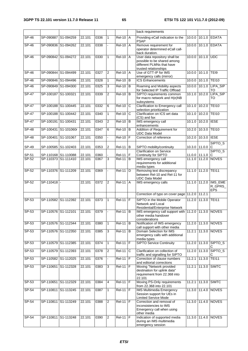|              |                     |                      |        |      |                |               |                       | back requirements                                                                                                  |               |                    |                                  |
|--------------|---------------------|----------------------|--------|------|----------------|---------------|-----------------------|--------------------------------------------------------------------------------------------------------------------|---------------|--------------------|----------------------------------|
| SP-46        |                     | SP-090887 S1-094259  | 22.101 | 0336 | $\mathbf{1}$   | <b>Rel-10</b> | $\overline{A}$        | Providing eCall indication to the                                                                                  | 10.0.0        |                    | 10.1.0 EDATA                     |
|              |                     |                      |        |      |                |               |                       | <b>PSAP</b>                                                                                                        |               |                    |                                  |
| $SP-46$      |                     | SP-090836 S1-094262  | 22.101 | 0338 |                | $Rel-10$ $A$  |                       | Remove requirement for<br>operator determined eCall call-<br>back duration.                                        |               |                    | 10.0.0 10.1.0 EDATA              |
| SP-46        |                     | SP-090842 S1-094272  | 22.101 | 0330 | $\mathbf{1}$   | $Rel-10$ A    |                       | User data repository shall be<br>possible to be shared among<br>different PLMNs that have<br>trusted relationships |               | 10.0.0 10.1.0 UDC  |                                  |
| SP-46        |                     | SP-090844 S1-094499  | 22.101 | 0327 | 2              | $Rel-10$      | $\overline{A}$        | Use of GTT-IP for IMS<br>emergency calls (mirror)                                                                  |               | 10.0.0 10.1.0 TEI9 |                                  |
| $SP-46$      |                     | SP-090846 S1-094496  | 22.101 | 0328 | $\mathbf{1}$   | $Rel-10$      | B                     | <b>ICS Enhancements</b>                                                                                            |               | 10.0.0 10.1.0      | <b>TEI10</b>                     |
| $SP-46$      |                     | SP-090849 S1-094300  | 22.101 | 0325 | 3              | $Rel-10$      | B                     | Roaming and Mobility aspects<br>for Selected IP Traffic Offload                                                    |               | 10.0.0 10.1.0      | LIPA_SIP<br>TO                   |
| $SP-47$      | SP-100187 S1-100321 |                      | 22.101 | 0339 | $\overline{2}$ | <b>Rel-10</b> | B                     | SIPTO requirements common<br>for macro network and H(e)NB<br>subsystems                                            | 10.1.0        | 10.2.0             | LIPA_SIP<br>TO                   |
| $SP-47$      | SP-100188 S1-100445 |                      | 22.101 | 0332 | 6              | $Rel-10$      | C                     | Clarification to Emergency call<br>selection prioritization                                                        | 10.1.0        | 10.2.0             | <b>TEI10</b>                     |
| $SP-47$      | SP-100188 S1-100442 |                      | 22.101 | 0340 | $\mathbf{1}$   | $Rel-10$      | $\overline{\text{c}}$ | Clarification on ICS wrt data<br>(CS) and fax                                                                      | 10.1.0 10.2.0 |                    | <b>TEI10</b>                     |
| $SP-47$      | SP-100191 S1-100431 |                      | 22.101 | 0343 | $\overline{2}$ | $Rel-10$      | B                     | IMS emergency call<br>enhancements                                                                                 |               | 10.1.0 10.2.0      | <b>IESE</b>                      |
| <b>SP-48</b> |                     | SP-100431 S1-101060r | 22.101 | 0347 | 6              | $ReI-10$      | B                     | Addition of Requirement for<br><b>UDC Data Model</b>                                                               | 10.2.0        | 10.3.0             | <b>TEI10</b>                     |
| $SP-48$      |                     | SP-100401 S1-101067  | 22.101 | 0350 |                | $Rel-10$      |                       | Correction of reference                                                                                            | 10.2.0        | 10.3.0 IESE        |                                  |
| SP-49        |                     | SP-100585 S1-102403  | 22.101 | 0353 | $\overline{2}$ | $Rel-11$ B    |                       | SIPTO mobility/continuity                                                                                          |               | 10.3.0 11.0.0      | SIPTO_S<br>С                     |
| SP-51        |                     | SP-110168 S1-110088  | 22.101 | 0360 |                | <b>Rel-11</b> | F                     | <b>Clarification on Service</b><br>Continuity for SIPTO                                                            |               | 11.0.0 11.1.0      | SIPTO_S<br>С                     |
| $SP-52$      |                     | SP-110373 S1-111410  | 22.101 | 0367 | 3              | $Rel-11$      | l B                   | IMS emergency call<br>requirements for additional<br>media types                                                   |               | 11.1.0 11.2.0      | <b>NOVES</b>                     |
| $SP-52$      | SP-110376 S1-111209 |                      | 22.101 | 0369 |                | $ReI-11$ ID   |                       | Removing text discrepancy<br>between Rel-10 and Rel-11 for<br><b>UDC Data Model</b>                                |               | 11.1.0 11.2.0      | <b>TEI11</b>                     |
| SP-52        | SP-110418           |                      | 22.101 | 0372 | 2              | <b>Rel-11</b> | A                     | IMS emergency calls                                                                                                | 11.1.0        | 11.2.0             | IMS_EME<br>R_GPRS_<br><b>EPS</b> |
|              |                     |                      |        |      |                |               |                       | Correction of typo on cover page 11.2.0                                                                            |               | 11.2.1             |                                  |
| SP-53        |                     | SP-110582 S1-112392  | 22.101 | 0373 | $\mathbf{1}$   | $Rel-11$      | ĪF                    | SIPTO in the Mobile Operator<br>Network and Local<br>Residential/Enterprise Network                                | 11.2.0        | 11.3.0             | <b>TEI11</b>                     |
| $SP-53$      | SP-110576 S1-112101 |                      | 22.101 | 0379 |                | <b>Rel-11</b> | B                     | IMS emergency call support with 11.2.0 11.3.0 NOVES<br>other media handover<br>considerations                      |               |                    |                                  |
| $SP-53$      |                     | SP-110576 S1-112344  | 22.101 | 0380 | $\mathbf{1}$   | $Rel-11$ B    |                       | Notification of IMS emergency                                                                                      |               |                    | 11.2.0 11.3.0 NOVES              |
| SP-53        |                     | SP-110576 S1-112350  | 22.101 | 0385 | $\mathbf{3}$   | <b>Rel-11</b> | B                     | call support with other media<br>Domain Selection for IMS<br>emergency calls with additional<br>media types        | 11.2.1        | 11.3.0             | <b>NOVES</b>                     |
| $SP-53$      |                     | SP-110579 S1-112385  | 22.101 | 0374 | $\mathbf{1}$   | $Rel-11$ F    |                       | <b>SIPTO Service Continuity</b>                                                                                    |               |                    | 11.2.0 11.3.0 SIPTO_S            |
| $SP-53$      |                     | SP-110579 S1-112393  | 22.101 | 0378 | 2              | <b>Rel-11</b> | C                     | Clarification on collection of<br>traffic and signalling for SIPTO                                                 | 11.2.0 11.3.0 |                    | SIPTO_S                          |
| $SP-53$      |                     | SP-110582 S1-112025  | 22.101 | 0376 | ÷.             | <b>Rel-11</b> | F                     | Correction of clause numbers<br>and editorial corrections                                                          | 11.2.1        | 11.3.0             | <b>TEI11</b>                     |
| SP-53        | SP-110651           | S1-112328            | 22.101 | 0383 | $\mathbf{3}$   | $Rel-11$ $F$  |                       | Moving "Network provided<br>destination for uplink data"<br>requirement from 22.368 into<br>22.101                 | 11.2.1        | 11.3.0             | <b>SIMTC</b>                     |
| $SP-53$      |                     | SP-110651 S1-112329  | 22.101 | 0384 | $\overline{4}$ | $Rel-11$ F    |                       | Moving PS-Only requirements<br>from 22.368 into 22.101                                                             |               |                    | 11.2.1 11.3.0 SIMTC              |
| SP-54        |                     | SP-110811 S1-113245  | 22.101 | 0387 | $\mathbf{1}$   | $Rel-11$ F    |                       | <b>IMS Multimedia Emergency</b><br>Session support for UEs in<br><b>Limited Service Mode</b>                       |               |                    | 11.3.0 11.4.0 NOVES              |
| SP-54        |                     | SP-110811 S1-113249  | 22.101 | 0388 | $\overline{2}$ | $ReI-11$ $F$  |                       | Correction and removal of<br>inconsistencies to IMS<br>Emergency call when using<br>other media                    | 11.3.0        |                    | 11.4.0 NOVES                     |
| SP-54        |                     | SP-110811 S1-113248  | 22.101 | 0390 | $\overline{2}$ | $Rel-11$ F    |                       | Indication of supported media<br>during an IMS multimedia<br>emergency session                                     |               |                    | 11.3.0 11.4.0 NOVES              |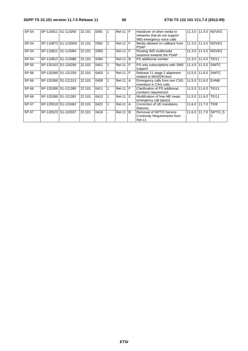#### **3GPP TS 22.101 version 11.7.0 Release 11 66 ETSI TS 122 101 V11.7.0 (2012-09)**

| SP-54   | SP-110811 S1-113250 |                      | 22.101 | 0391 |                | $Rel-11$ $F$  |     | Handover of other media to                                                       |               |             | 11.3.0 111.4.0 NOVES |
|---------|---------------------|----------------------|--------|------|----------------|---------------|-----|----------------------------------------------------------------------------------|---------------|-------------|----------------------|
|         |                     |                      |        |      |                |               |     | networks that do not support                                                     |               |             |                      |
|         |                     |                      |        |      |                |               |     | IMS emergency voice calls                                                        |               |             |                      |
| SP-54   |                     | SP-110873 S1-113093r | 22.101 | 0392 | $\overline{2}$ | $ReI-11$ $F$  |     | Media allowed on callback from<br><b>PSAP</b>                                    | 11.3.0        | 11.4.0      | <b>NOVES</b>         |
| SP-54   | SP-110811 S1-113094 |                      | 22.101 | 0393 |                | $ReI-11$ $IF$ |     | Routing IMS multimedia<br>sessions towards the PSAP                              | 11.3.0        |             | 11.4.0 NOVES         |
| $SP-54$ | SP-110813 S1-113098 |                      | 22.101 | 0394 |                | <b>Rel-11</b> | B   | <b>PS</b> additional number                                                      | 11.3.0        | 11.4.0      | <b>TEI11</b>         |
| SP-55   | SP-120103 S1-120256 |                      | 22.101 | 0401 |                | <b>Rel-11</b> | ĪF. | PS only subscriptions with SMS<br>support                                        | 11.4.0        |             | 11.5.0 SIMTC         |
| SP-56   | SP-120289 S1-121329 |                      | 22.101 | 0403 |                | $ReI-11$ $F$  |     | Release 11 stage 2 alignment<br>related to MSISDN-less                           | 11.5.0        |             | 11.6.0 SIMTC         |
| SP-56   | SP-120286 S1-121313 |                      | 22.101 | 0408 |                | <b>Rel-11</b> | I A | Emergency calls from non CSG<br>members in CSG cells                             | 11.5.0        | 11.6.0 EHNB |                      |
| SP-56   | SP-120288 S1-121395 |                      | 22.101 | 0411 |                | <b>Rel-11</b> | IF. | Clarification of PS additional<br>numbers requirement                            | 11.5.0        | 11.6.0      | <b>TEI11</b>         |
| SP-56   | SP-120288 S1-121391 |                      | 22.101 | 0413 |                | <b>Rel-11</b> | IC. | Modification of how ME treats<br>emergency call type(s)                          | 11.5.0        | 11.6.0      | <b>TEI11</b>         |
| SP-57   | SP-120519 S1-122462 |                      | 22.101 | 0422 |                | <b>Rel-11</b> | A   | Correction of UE mandatory<br>features                                           | 11.6.0        | 11.7.0      | TE <sub>18</sub>     |
| SP-57   | SP-120523 S1-122037 |                      | 22.101 | 0418 |                | <b>Rel-11</b> | B   | <b>Removal of SIPTO Service</b><br>Continuity Requirements from<br><b>Rel-11</b> | 11.6.0 11.7.0 |             | SIPTO S<br>С         |